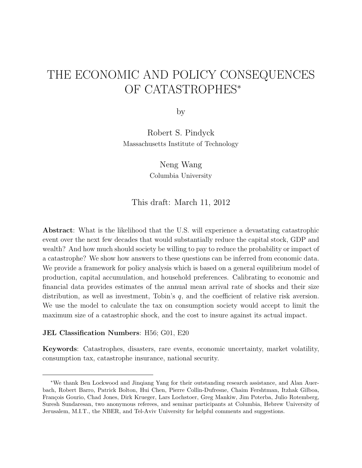# THE ECONOMIC AND POLICY CONSEQUENCES OF CATASTROPHES<sup>∗</sup>

by

Robert S. Pindyck Massachusetts Institute of Technology

> Neng Wang Columbia University

This draft: March 11, 2012

Abstract: What is the likelihood that the U.S. will experience a devastating catastrophic event over the next few decades that would substantially reduce the capital stock, GDP and wealth? And how much should society be willing to pay to reduce the probability or impact of a catastrophe? We show how answers to these questions can be inferred from economic data. We provide a framework for policy analysis which is based on a general equilibrium model of production, capital accumulation, and household preferences. Calibrating to economic and financial data provides estimates of the annual mean arrival rate of shocks and their size distribution, as well as investment, Tobin's  $q$ , and the coefficient of relative risk aversion. We use the model to calculate the tax on consumption society would accept to limit the maximum size of a catastrophic shock, and the cost to insure against its actual impact.

### JEL Classification Numbers: H56; G01, E20

Keywords: Catastrophes, disasters, rare events, economic uncertainty, market volatility, consumption tax, catastrophe insurance, national security.

<sup>∗</sup>We thank Ben Lockwood and Jinqiang Yang for their outstanding research assistance, and Alan Auerbach, Robert Barro, Patrick Bolton, Hui Chen, Pierre Collin-Dufresne, Chaim Fershtman, Itzhak Gilboa, François Gourio, Chad Jones, Dirk Krueger, Lars Lochstoer, Greg Mankiw, Jim Poterba, Julio Rotemberg, Suresh Sundaresan, two anonymous referees, and seminar participants at Columbia, Hebrew University of Jerusalem, M.I.T., the NBER, and Tel-Aviv University for helpful comments and suggestions.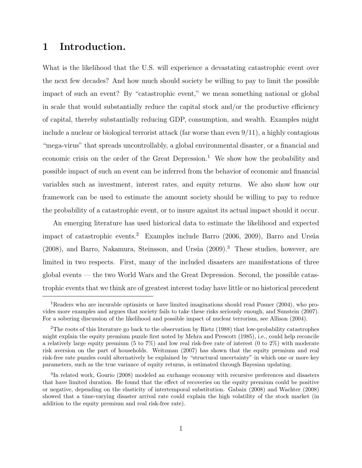# 1 Introduction.

What is the likelihood that the U.S. will experience a devastating catastrophic event over the next few decades? And how much should society be willing to pay to limit the possible impact of such an event? By "catastrophic event," we mean something national or global in scale that would substantially reduce the capital stock and/or the productive efficiency of capital, thereby substantially reducing GDP, consumption, and wealth. Examples might include a nuclear or biological terrorist attack (far worse than even  $9/11$ ), a highly contagious "mega-virus" that spreads uncontrollably, a global environmental disaster, or a financial and economic crisis on the order of the Great Depression.<sup>1</sup> We show how the probability and possible impact of such an event can be inferred from the behavior of economic and financial variables such as investment, interest rates, and equity returns. We also show how our framework can be used to estimate the amount society should be willing to pay to reduce the probability of a catastrophic event, or to insure against its actual impact should it occur.

An emerging literature has used historical data to estimate the likelihood and expected impact of catastrophic events.<sup>2</sup> Examples include Barro (2006, 2009), Barro and Ursúa (2008), and Barro, Nakamura, Steinsson, and Ursúa (2009).<sup>3</sup> These studies, however, are limited in two respects. First, many of the included disasters are manifestations of three global events — the two World Wars and the Great Depression. Second, the possible catastrophic events that we think are of greatest interest today have little or no historical precedent

<sup>1</sup>Readers who are incurable optimists or have limited imaginations should read Posner (2004), who provides more examples and argues that society fails to take these risks seriously enough, and Sunstein (2007). For a sobering discussion of the likelihood and possible impact of nuclear terrorism, see Allison (2004).

<sup>&</sup>lt;sup>2</sup>The roots of this literature go back to the observation by Rietz (1988) that low-probability catastrophes might explain the equity premium puzzle first noted by Mehra and Prescott (1985), i.e., could help reconcile a relatively large equity premium (5 to 7%) and low real risk-free rate of interest (0 to 2%) with moderate risk aversion on the part of households. Weitzman (2007) has shown that the equity premium and real risk-free rate puzzles could alternatively be explained by "structural uncertainty" in which one or more key parameters, such as the true variance of equity returns, is estimated through Bayesian updating.

<sup>&</sup>lt;sup>3</sup>In related work, Gourio (2008) modeled an exchange economy with recursive preferences and disasters that have limited duration. He found that the effect of recoveries on the equity premium could be positive or negative, depending on the elasticity of intertemporal substitution. Gabaix (2008) and Wachter (2008) showed that a time-varying disaster arrival rate could explain the high volatility of the stock market (in addition to the equity premium and real risk-free rate).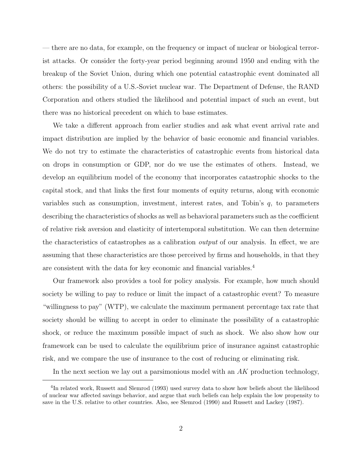— there are no data, for example, on the frequency or impact of nuclear or biological terrorist attacks. Or consider the forty-year period beginning around 1950 and ending with the breakup of the Soviet Union, during which one potential catastrophic event dominated all others: the possibility of a U.S.-Soviet nuclear war. The Department of Defense, the RAND Corporation and others studied the likelihood and potential impact of such an event, but there was no historical precedent on which to base estimates.

We take a different approach from earlier studies and ask what event arrival rate and impact distribution are implied by the behavior of basic economic and financial variables. We do not try to estimate the characteristics of catastrophic events from historical data on drops in consumption or GDP, nor do we use the estimates of others. Instead, we develop an equilibrium model of the economy that incorporates catastrophic shocks to the capital stock, and that links the first four moments of equity returns, along with economic variables such as consumption, investment, interest rates, and Tobin's q, to parameters describing the characteristics of shocks as well as behavioral parameters such as the coefficient of relative risk aversion and elasticity of intertemporal substitution. We can then determine the characteristics of catastrophes as a calibration output of our analysis. In effect, we are assuming that these characteristics are those perceived by firms and households, in that they are consistent with the data for key economic and financial variables.<sup>4</sup>

Our framework also provides a tool for policy analysis. For example, how much should society be willing to pay to reduce or limit the impact of a catastrophic event? To measure "willingness to pay" (WTP), we calculate the maximum permanent percentage tax rate that society should be willing to accept in order to eliminate the possibility of a catastrophic shock, or reduce the maximum possible impact of such as shock. We also show how our framework can be used to calculate the equilibrium price of insurance against catastrophic risk, and we compare the use of insurance to the cost of reducing or eliminating risk.

In the next section we lay out a parsimonious model with an  $AK$  production technology,

<sup>&</sup>lt;sup>4</sup>In related work, Russett and Slemrod (1993) used survey data to show how beliefs about the likelihood of nuclear war affected savings behavior, and argue that such beliefs can help explain the low propensity to save in the U.S. relative to other countries. Also, see Slemrod (1990) and Russett and Lackey (1987).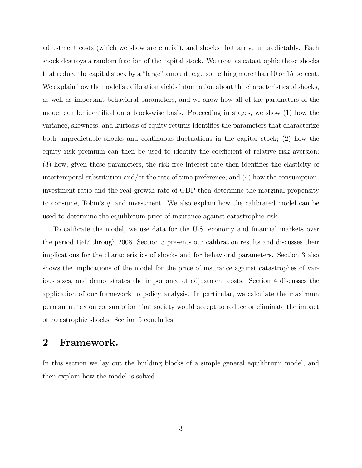adjustment costs (which we show are crucial), and shocks that arrive unpredictably. Each shock destroys a random fraction of the capital stock. We treat as catastrophic those shocks that reduce the capital stock by a "large" amount, e.g., something more than 10 or 15 percent. We explain how the model's calibration yields information about the characteristics of shocks, as well as important behavioral parameters, and we show how all of the parameters of the model can be identified on a block-wise basis. Proceeding in stages, we show (1) how the variance, skewness, and kurtosis of equity returns identifies the parameters that characterize both unpredictable shocks and continuous fluctuations in the capital stock; (2) how the equity risk premium can then be used to identify the coefficient of relative risk aversion; (3) how, given these parameters, the risk-free interest rate then identifies the elasticity of intertemporal substitution and/or the rate of time preference; and (4) how the consumptioninvestment ratio and the real growth rate of GDP then determine the marginal propensity to consume, Tobin's q, and investment. We also explain how the calibrated model can be used to determine the equilibrium price of insurance against catastrophic risk.

To calibrate the model, we use data for the U.S. economy and financial markets over the period 1947 through 2008. Section 3 presents our calibration results and discusses their implications for the characteristics of shocks and for behavioral parameters. Section 3 also shows the implications of the model for the price of insurance against catastrophes of various sizes, and demonstrates the importance of adjustment costs. Section 4 discusses the application of our framework to policy analysis. In particular, we calculate the maximum permanent tax on consumption that society would accept to reduce or eliminate the impact of catastrophic shocks. Section 5 concludes.

# 2 Framework.

In this section we lay out the building blocks of a simple general equilibrium model, and then explain how the model is solved.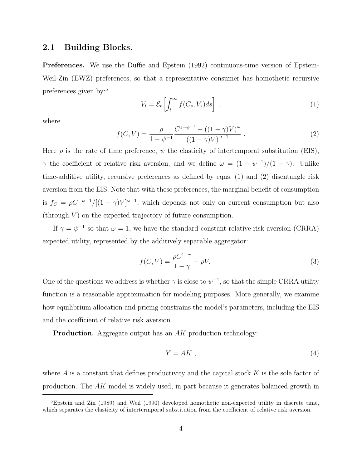### 2.1 Building Blocks.

Preferences. We use the Duffie and Epstein (1992) continuous-time version of Epstein-Weil-Zin (EWZ) preferences, so that a representative consumer has homothetic recursive preferences given by:<sup>5</sup>

$$
V_t = \mathcal{E}_t \left[ \int_t^\infty f(C_s, V_s) ds \right], \qquad (1)
$$

where

$$
f(C,V) = \frac{\rho}{1 - \psi^{-1}} \frac{C^{1 - \psi^{-1}} - ((1 - \gamma)V)^{\omega}}{((1 - \gamma)V)^{\omega - 1}}.
$$
\n(2)

Here  $\rho$  is the rate of time preference,  $\psi$  the elasticity of intertemporal substitution (EIS),  $\gamma$  the coefficient of relative risk aversion, and we define  $\omega = (1 - \psi^{-1})/(1 - \gamma)$ . Unlike time-additive utility, recursive preferences as defined by eqns. (1) and (2) disentangle risk aversion from the EIS. Note that with these preferences, the marginal benefit of consumption is  $f_C = \rho C^{-\psi-1}/[(1-\gamma)V]^{\omega-1}$ , which depends not only on current consumption but also  $(\text{through } V)$  on the expected trajectory of future consumption.

If  $\gamma = \psi^{-1}$  so that  $\omega = 1$ , we have the standard constant-relative-risk-aversion (CRRA) expected utility, represented by the additively separable aggregator:

$$
f(C,V) = \frac{\rho C^{1-\gamma}}{1-\gamma} - \rho V.
$$
\n(3)

One of the questions we address is whether  $\gamma$  is close to  $\psi^{-1}$ , so that the simple CRRA utility function is a reasonable approximation for modeling purposes. More generally, we examine how equilibrium allocation and pricing constrains the model's parameters, including the EIS and the coefficient of relative risk aversion.

**Production.** Aggregate output has an AK production technology:

$$
Y = AK \t{,} \t(4)
$$

where  $A$  is a constant that defines productivity and the capital stock  $K$  is the sole factor of production. The AK model is widely used, in part because it generates balanced growth in

 $5E$ pstein and Zin (1989) and Weil (1990) developed homothetic non-expected utility in discrete time, which separates the elasticity of intertermporal substitution from the coefficient of relative risk aversion.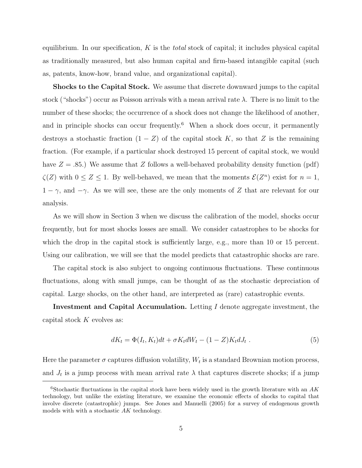equilibrium. In our specification,  $K$  is the *total* stock of capital; it includes physical capital as traditionally measured, but also human capital and firm-based intangible capital (such as, patents, know-how, brand value, and organizational capital).

Shocks to the Capital Stock. We assume that discrete downward jumps to the capital stock ("shocks") occur as Poisson arrivals with a mean arrival rate  $\lambda$ . There is no limit to the number of these shocks; the occurrence of a shock does not change the likelihood of another, and in principle shocks can occur frequently.<sup>6</sup> When a shock does occur, it permanently destroys a stochastic fraction  $(1 - Z)$  of the capital stock K, so that Z is the remaining fraction. (For example, if a particular shock destroyed 15 percent of capital stock, we would have  $Z = .85$ .) We assume that Z follows a well-behaved probability density function (pdf)  $\zeta(Z)$  with  $0 \le Z \le 1$ . By well-behaved, we mean that the moments  $\mathcal{E}(Z^n)$  exist for  $n = 1$ ,  $1 - \gamma$ , and  $-\gamma$ . As we will see, these are the only moments of Z that are relevant for our analysis.

As we will show in Section 3 when we discuss the calibration of the model, shocks occur frequently, but for most shocks losses are small. We consider catastrophes to be shocks for which the drop in the capital stock is sufficiently large, e.g., more than 10 or 15 percent. Using our calibration, we will see that the model predicts that catastrophic shocks are rare.

The capital stock is also subject to ongoing continuous fluctuations. These continuous fluctuations, along with small jumps, can be thought of as the stochastic depreciation of capital. Large shocks, on the other hand, are interpreted as (rare) catastrophic events.

Investment and Capital Accumulation. Letting I denote aggregate investment, the capital stock  $K$  evolves as:

$$
dK_t = \Phi(I_t, K_t)dt + \sigma K_t dW_t - (1 - Z)K_t dJ_t.
$$
\n
$$
(5)
$$

Here the parameter  $\sigma$  captures diffusion volatility,  $W_t$  is a standard Brownian motion process, and  $J_t$  is a jump process with mean arrival rate  $\lambda$  that captures discrete shocks; if a jump

<sup>&</sup>lt;sup>6</sup>Stochastic fluctuations in the capital stock have been widely used in the growth literature with an  $AK$ technology, but unlike the existing literature, we examine the economic effects of shocks to capital that involve discrete (catastrophic) jumps. See Jones and Manuelli (2005) for a survey of endogenous growth models with with a stochastic AK technology.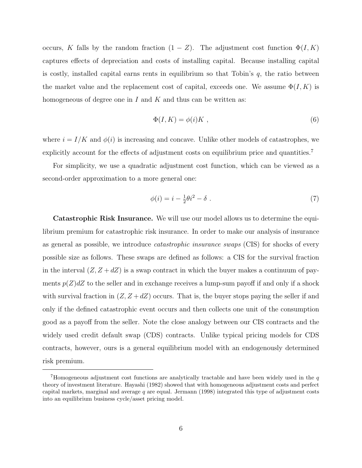occurs, K falls by the random fraction  $(1 - Z)$ . The adjustment cost function  $\Phi(I, K)$ captures effects of depreciation and costs of installing capital. Because installing capital is costly, installed capital earns rents in equilibrium so that Tobin's  $q$ , the ratio between the market value and the replacement cost of capital, exceeds one. We assume  $\Phi(I, K)$  is homogeneous of degree one in I and K and thus can be written as:

$$
\Phi(I, K) = \phi(i)K \tag{6}
$$

where  $i = I/K$  and  $\phi(i)$  is increasing and concave. Unlike other models of catastrophes, we explicitly account for the effects of adjustment costs on equilibrium price and quantities.<sup>7</sup>

For simplicity, we use a quadratic adjustment cost function, which can be viewed as a second-order approximation to a more general one:

$$
\phi(i) = i - \frac{1}{2}\theta i^2 - \delta \tag{7}
$$

Catastrophic Risk Insurance. We will use our model allows us to determine the equilibrium premium for catastrophic risk insurance. In order to make our analysis of insurance as general as possible, we introduce catastrophic insurance swaps (CIS) for shocks of every possible size as follows. These swaps are defined as follows: a CIS for the survival fraction in the interval  $(Z, Z + dZ)$  is a swap contract in which the buyer makes a continuum of payments  $p(Z)dZ$  to the seller and in exchange receives a lump-sum payoff if and only if a shock with survival fraction in  $(Z, Z + dZ)$  occurs. That is, the buyer stops paying the seller if and only if the defined catastrophic event occurs and then collects one unit of the consumption good as a payoff from the seller. Note the close analogy between our CIS contracts and the widely used credit default swap (CDS) contracts. Unlike typical pricing models for CDS contracts, however, ours is a general equilibrium model with an endogenously determined risk premium.

 $7$ Homogeneous adjustment cost functions are analytically tractable and have been widely used in the  $q$ theory of investment literature. Hayashi (1982) showed that with homogeneous adjustment costs and perfect capital markets, marginal and average  $q$  are equal. Jermann (1998) integrated this type of adjustment costs into an equilibrium business cycle/asset pricing model.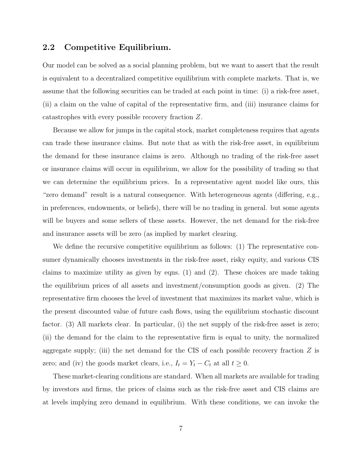### 2.2 Competitive Equilibrium.

Our model can be solved as a social planning problem, but we want to assert that the result is equivalent to a decentralized competitive equilibrium with complete markets. That is, we assume that the following securities can be traded at each point in time: (i) a risk-free asset, (ii) a claim on the value of capital of the representative firm, and (iii) insurance claims for catastrophes with every possible recovery fraction Z.

Because we allow for jumps in the capital stock, market completeness requires that agents can trade these insurance claims. But note that as with the risk-free asset, in equilibrium the demand for these insurance claims is zero. Although no trading of the risk-free asset or insurance claims will occur in equilibrium, we allow for the possibility of trading so that we can determine the equilibrium prices. In a representative agent model like ours, this "zero demand" result is a natural consequence. With heterogeneous agents (differing, e.g., in preferences, endowments, or beliefs), there will be no trading in general. but some agents will be buyers and some sellers of these assets. However, the net demand for the risk-free and insurance assets will be zero (as implied by market clearing.

We define the recursive competitive equilibrium as follows: (1) The representative consumer dynamically chooses investments in the risk-free asset, risky equity, and various CIS claims to maximize utility as given by eqns. (1) and (2). These choices are made taking the equilibrium prices of all assets and investment/consumption goods as given. (2) The representative firm chooses the level of investment that maximizes its market value, which is the present discounted value of future cash flows, using the equilibrium stochastic discount factor. (3) All markets clear. In particular, (i) the net supply of the risk-free asset is zero; (ii) the demand for the claim to the representative firm is equal to unity, the normalized aggregate supply; (iii) the net demand for the CIS of each possible recovery fraction  $Z$  is zero; and (iv) the goods market clears, i.e.,  $I_t = Y_t - C_t$  at all  $t \geq 0$ .

These market-clearing conditions are standard. When all markets are available for trading by investors and firms, the prices of claims such as the risk-free asset and CIS claims are at levels implying zero demand in equilibrium. With these conditions, we can invoke the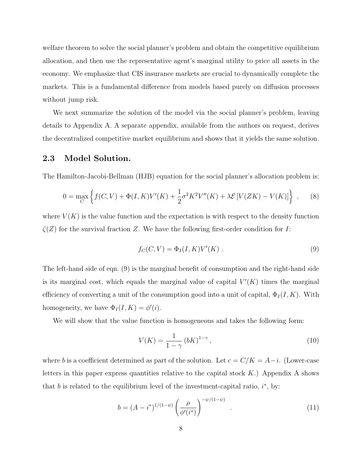welfare theorem to solve the social planner's problem and obtain the competitive equilibrium allocation, and then use the representative agent's marginal utility to price all assets in the economy. We emphasize that CIS insurance markets are crucial to dynamically complete the markets. This is a fundamental difference from models based purely on diffusion processes without jump risk.

We next summarize the solution of the model via the social planner's problem, leaving details to Appendix A. A separate appendix, available from the authors on request, derives the decentralized competitive market equilibrium and shows that it yields the same solution.

### 2.3 Model Solution.

The Hamilton-Jacobi-Bellman (HJB) equation for the social planner's allocation problem is:

$$
0 = \max_{C} \left\{ f(C, V) + \Phi(I, K)V'(K) + \frac{1}{2}\sigma^2 K^2 V''(K) + \lambda \mathcal{E}[V(ZK) - V(K)] \right\} ,\tag{8}
$$

where  $V(K)$  is the value function and the expectation is with respect to the density function  $\zeta(Z)$  for the survival fraction Z. We have the following first-order condition for I:

$$
f_C(C, V) = \Phi_I(I, K)V'(K) . \qquad (9)
$$

The left-hand side of eqn. (9) is the marginal benefit of consumption and the right-hand side is its marginal cost, which equals the marginal value of capital  $V'(K)$  times the marginal efficiency of converting a unit of the consumption good into a unit of capital,  $\Phi_I(I, K)$ . With homogeneity, we have  $\Phi_I(I, K) = \phi'(i)$ .

We will show that the value function is homogeneous and takes the following form:

$$
V(K) = \frac{1}{1 - \gamma} \left( bK \right)^{1 - \gamma},\tag{10}
$$

where b is a coefficient determined as part of the solution. Let  $c = C/K = A-i$ . (Lower-case letters in this paper express quantities relative to the capital stock  $K$ .) Appendix A shows that b is related to the equilibrium level of the investment-capital ratio,  $i^*$ , by:

$$
b = (A - i^*)^{1/(1-\psi)} \left(\frac{\rho}{\phi'(i^*)}\right)^{-\psi/(1-\psi)}.
$$
 (11)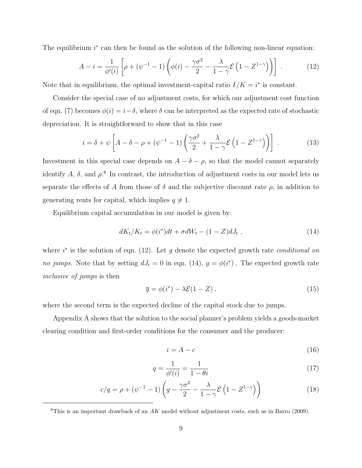The equilibrium  $i^*$  can then be found as the solution of the following non-linear equation:

$$
A - i = \frac{1}{\phi'(i)} \left[ \rho + (\psi^{-1} - 1) \left( \phi(i) - \frac{\gamma \sigma^2}{2} - \frac{\lambda}{1 - \gamma} \mathcal{E} \left( 1 - Z^{1 - \gamma} \right) \right) \right] \tag{12}
$$

Note that in equilibrium, the optimal investment-capital ratio  $I/K = i^*$  is constant.

Consider the special case of no adjustment costs, for which our adjustment cost function of eqn. (7) becomes  $\phi(i) = i - \delta$ , where  $\delta$  can be interpreted as the expected rate of stochastic depreciation. It is straightforward to show that in this case

$$
i = \delta + \psi \left[ A - \delta - \rho + (\psi^{-1} - 1) \left( \frac{\gamma \sigma^2}{2} + \frac{\lambda}{1 - \gamma} \mathcal{E} \left( 1 - Z^{1 - \gamma} \right) \right) \right] \tag{13}
$$

Investment in this special case depends on  $A - \delta - \rho$ , so that the model cannot separately identify A,  $\delta$ , and  $\rho$ <sup>8</sup>. In contrast, the introduction of adjustment costs in our model lets us separate the effects of A from those of  $\delta$  and the subjective discount rate  $\rho$ , in addition to generating rents for capital, which implies  $q \neq 1$ .

Equilibrium capital accumulation in our model is given by:

$$
dK_t/K_t = \phi(i^*)dt + \sigma dW_t - (1 - Z)dJ_t , \qquad (14)
$$

where  $i^*$  is the solution of eqn. (12). Let g denote the expected growth rate *conditional on* no jumps. Note that by setting  $dJ_t = 0$  in eqn. (14),  $g = \phi(i^*)$ . The expected growth rate inclusive of jumps is then

$$
\overline{g} = \phi(i^*) - \lambda \mathcal{E}(1 - Z), \qquad (15)
$$

where the second term is the expected decline of the capital stock due to jumps.

Appendix A shows that the solution to the social planner's problem yields a goods-market clearing condition and first-order conditions for the consumer and the producer:

$$
i = A - c \tag{16}
$$

$$
q = \frac{1}{\phi'(i)} = \frac{1}{1 - \theta i} \tag{17}
$$

$$
c/q = \rho + (\psi^{-1} - 1) \left( g - \frac{\gamma \sigma^2}{2} - \frac{\lambda}{1 - \gamma} \mathcal{E} \left( 1 - Z^{1 - \gamma} \right) \right)
$$
(18)

<sup>&</sup>lt;sup>8</sup>This is an important drawback of an  $AK$  model without adjustment costs, such as in Barro (2009).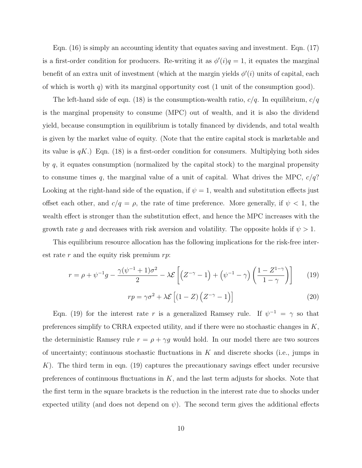Eqn. (16) is simply an accounting identity that equates saving and investment. Eqn. (17) is a first-order condition for producers. Re-writing it as  $\phi'(i)q = 1$ , it equates the marginal benefit of an extra unit of investment (which at the margin yields  $\phi'(i)$  units of capital, each of which is worth q) with its marginal opportunity cost (1 unit of the consumption good).

The left-hand side of eqn. (18) is the consumption-wealth ratio,  $c/q$ . In equilibrium,  $c/q$ is the marginal propensity to consume (MPC) out of wealth, and it is also the dividend yield, because consumption in equilibrium is totally financed by dividends, and total wealth is given by the market value of equity. (Note that the entire capital stock is marketable and its value is  $qK$ .) Eqn. (18) is a first-order condition for consumers. Multiplying both sides by  $q$ , it equates consumption (normalized by the capital stock) to the marginal propensity to consume times q, the marginal value of a unit of capital. What drives the MPC,  $c/q$ ? Looking at the right-hand side of the equation, if  $\psi = 1$ , wealth and substitution effects just offset each other, and  $c/q = \rho$ , the rate of time preference. More generally, if  $\psi < 1$ , the wealth effect is stronger than the substitution effect, and hence the MPC increases with the growth rate g and decreases with risk aversion and volatility. The opposite holds if  $\psi > 1$ .

This equilibrium resource allocation has the following implications for the risk-free interest rate r and the equity risk premium  $rp$ :

$$
r = \rho + \psi^{-1}g - \frac{\gamma(\psi^{-1} + 1)\sigma^2}{2} - \lambda \mathcal{E}\left[ \left( Z^{-\gamma} - 1 \right) + \left( \psi^{-1} - \gamma \right) \left( \frac{1 - Z^{1-\gamma}}{1 - \gamma} \right) \right] \tag{19}
$$

$$
rp = \gamma \sigma^2 + \lambda \mathcal{E} \left[ (1 - Z) \left( Z^{-\gamma} - 1 \right) \right] \tag{20}
$$

Eqn. (19) for the interest rate r is a generalized Ramsey rule. If  $\psi^{-1} = \gamma$  so that preferences simplify to CRRA expected utility, and if there were no stochastic changes in K, the deterministic Ramsey rule  $r = \rho + \gamma g$  would hold. In our model there are two sources of uncertainty; continuous stochastic fluctuations in  $K$  and discrete shocks (i.e., jumps in K). The third term in eqn. (19) captures the precautionary savings effect under recursive preferences of continuous fluctuations in  $K$ , and the last term adjusts for shocks. Note that the first term in the square brackets is the reduction in the interest rate due to shocks under expected utility (and does not depend on  $\psi$ ). The second term gives the additional effects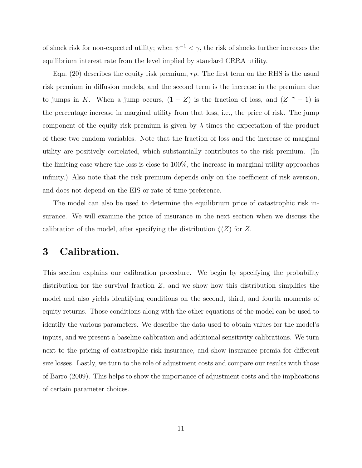of shock risk for non-expected utility; when  $\psi^{-1} < \gamma$ , the risk of shocks further increases the equilibrium interest rate from the level implied by standard CRRA utility.

Eqn. (20) describes the equity risk premium,  $rp$ . The first term on the RHS is the usual risk premium in diffusion models, and the second term is the increase in the premium due to jumps in K. When a jump occurs,  $(1 - Z)$  is the fraction of loss, and  $(Z^{-\gamma} - 1)$  is the percentage increase in marginal utility from that loss, i.e., the price of risk. The jump component of the equity risk premium is given by  $\lambda$  times the expectation of the product of these two random variables. Note that the fraction of loss and the increase of marginal utility are positively correlated, which substantially contributes to the risk premium. (In the limiting case where the loss is close to 100%, the increase in marginal utility approaches infinity.) Also note that the risk premium depends only on the coefficient of risk aversion, and does not depend on the EIS or rate of time preference.

The model can also be used to determine the equilibrium price of catastrophic risk insurance. We will examine the price of insurance in the next section when we discuss the calibration of the model, after specifying the distribution  $\zeta(Z)$  for Z.

# 3 Calibration.

This section explains our calibration procedure. We begin by specifying the probability distribution for the survival fraction  $Z$ , and we show how this distribution simplifies the model and also yields identifying conditions on the second, third, and fourth moments of equity returns. Those conditions along with the other equations of the model can be used to identify the various parameters. We describe the data used to obtain values for the model's inputs, and we present a baseline calibration and additional sensitivity calibrations. We turn next to the pricing of catastrophic risk insurance, and show insurance premia for different size losses. Lastly, we turn to the role of adjustment costs and compare our results with those of Barro (2009). This helps to show the importance of adjustment costs and the implications of certain parameter choices.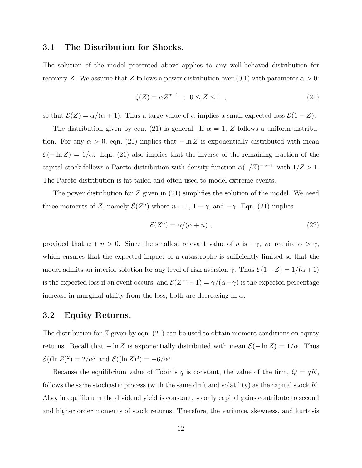### 3.1 The Distribution for Shocks.

The solution of the model presented above applies to any well-behaved distribution for recovery Z. We assume that Z follows a power distribution over  $(0,1)$  with parameter  $\alpha > 0$ :

$$
\zeta(Z) = \alpha Z^{\alpha - 1} \quad ; \quad 0 \le Z \le 1 \quad , \tag{21}
$$

so that  $\mathcal{E}(Z) = \alpha/(\alpha + 1)$ . Thus a large value of  $\alpha$  implies a small expected loss  $\mathcal{E}(1 - Z)$ .

The distribution given by eqn. (21) is general. If  $\alpha = 1, Z$  follows a uniform distribution. For any  $\alpha > 0$ , eqn. (21) implies that  $-\ln Z$  is exponentially distributed with mean  $\mathcal{E}(-\ln Z) = 1/\alpha$ . Eqn. (21) also implies that the inverse of the remaining fraction of the capital stock follows a Pareto distribution with density function  $\alpha(1/Z)^{-\alpha-1}$  with  $1/Z > 1$ . The Pareto distribution is fat-tailed and often used to model extreme events.

The power distribution for Z given in (21) simplifies the solution of the model. We need three moments of Z, namely  $\mathcal{E}(Z^n)$  where  $n = 1, 1 - \gamma$ , and  $-\gamma$ . Eqn. (21) implies

$$
\mathcal{E}(Z^n) = \alpha/(\alpha + n) \tag{22}
$$

provided that  $\alpha + n > 0$ . Since the smallest relevant value of n is  $-\gamma$ , we require  $\alpha > \gamma$ , which ensures that the expected impact of a catastrophe is sufficiently limited so that the model admits an interior solution for any level of risk aversion  $\gamma$ . Thus  $\mathcal{E}(1-Z) = 1/(\alpha+1)$ is the expected loss if an event occurs, and  $\mathcal{E}(Z^{-\gamma}-1) = \gamma/(\alpha-\gamma)$  is the expected percentage increase in marginal utility from the loss; both are decreasing in  $\alpha$ .

### 3.2 Equity Returns.

The distribution for Z given by eqn. (21) can be used to obtain moment conditions on equity returns. Recall that  $-\ln Z$  is exponentially distributed with mean  $\mathcal{E}(-\ln Z) = 1/\alpha$ . Thus  $\mathcal{E}((\ln Z)^2) = 2/\alpha^2$  and  $\mathcal{E}((\ln Z)^3) = -6/\alpha^3$ .

Because the equilibrium value of Tobin's q is constant, the value of the firm,  $Q = qK$ , follows the same stochastic process (with the same drift and volatility) as the capital stock  $K$ . Also, in equilibrium the dividend yield is constant, so only capital gains contribute to second and higher order moments of stock returns. Therefore, the variance, skewness, and kurtosis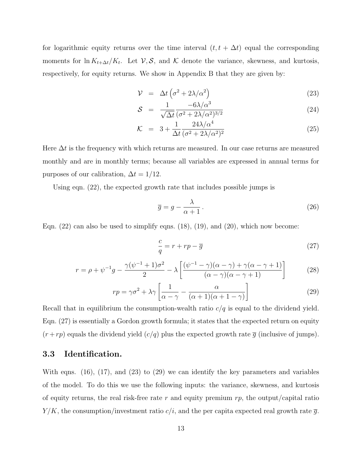for logarithmic equity returns over the time interval  $(t, t + \Delta t)$  equal the corresponding moments for  $\ln K_{t+\Delta t}/K_t$ . Let  $\mathcal{V}, \mathcal{S}$ , and  $\mathcal{K}$  denote the variance, skewness, and kurtosis, respectively, for equity returns. We show in Appendix B that they are given by:

$$
\mathcal{V} = \Delta t \left( \sigma^2 + 2\lambda/\alpha^2 \right) \tag{23}
$$

$$
S = \frac{1}{\sqrt{\Delta t}} \frac{-6\lambda/\alpha^3}{(\sigma^2 + 2\lambda/\alpha^2)^{3/2}} \tag{24}
$$

$$
\mathcal{K} = 3 + \frac{1}{\Delta t} \frac{24\lambda/\alpha^4}{(\sigma^2 + 2\lambda/\alpha^2)^2}
$$
\n(25)

Here  $\Delta t$  is the frequency with which returns are measured. In our case returns are measured monthly and are in monthly terms; because all variables are expressed in annual terms for purposes of our calibration,  $\Delta t = 1/12$ .

Using eqn. (22), the expected growth rate that includes possible jumps is

$$
\overline{g} = g - \frac{\lambda}{\alpha + 1} \,. \tag{26}
$$

Eqn.  $(22)$  can also be used to simplify eqns.  $(18)$ ,  $(19)$ , and  $(20)$ , which now become:

$$
\frac{c}{q} = r + rp - \overline{g} \tag{27}
$$

$$
r = \rho + \psi^{-1}g - \frac{\gamma(\psi^{-1} + 1)\sigma^2}{2} - \lambda \left[ \frac{(\psi^{-1} - \gamma)(\alpha - \gamma) + \gamma(\alpha - \gamma + 1)}{(\alpha - \gamma)(\alpha - \gamma + 1)} \right]
$$
(28)

$$
rp = \gamma \sigma^2 + \lambda \gamma \left[ \frac{1}{\alpha - \gamma} - \frac{\alpha}{(\alpha + 1)(\alpha + 1 - \gamma)} \right]
$$
 (29)

Recall that in equilibrium the consumption-wealth ratio  $c/q$  is equal to the dividend yield. Eqn. (27) is essentially a Gordon growth formula; it states that the expected return on equity  $(r + rp)$  equals the dividend yield  $(c/q)$  plus the expected growth rate  $\bar{g}$  (inclusive of jumps).

### 3.3 Identification.

With eqns. (16), (17), and (23) to (29) we can identify the key parameters and variables of the model. To do this we use the following inputs: the variance, skewness, and kurtosis of equity returns, the real risk-free rate r and equity premium  $rp$ , the output/capital ratio  $Y/K$ , the consumption/investment ratio  $c/i$ , and the per capita expected real growth rate  $\overline{g}$ .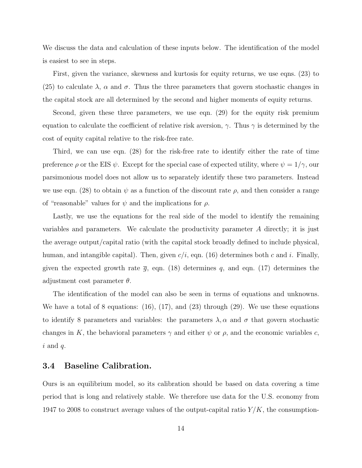We discuss the data and calculation of these inputs below. The identification of the model is easiest to see in steps.

First, given the variance, skewness and kurtosis for equity returns, we use eqns. (23) to (25) to calculate  $\lambda$ ,  $\alpha$  and  $\sigma$ . Thus the three parameters that govern stochastic changes in the capital stock are all determined by the second and higher moments of equity returns.

Second, given these three parameters, we use eqn. (29) for the equity risk premium equation to calculate the coefficient of relative risk aversion,  $\gamma$ . Thus  $\gamma$  is determined by the cost of equity capital relative to the risk-free rate.

Third, we can use eqn. (28) for the risk-free rate to identify either the rate of time preference  $\rho$  or the EIS  $\psi$ . Except for the special case of expected utility, where  $\psi = 1/\gamma$ , our parsimonious model does not allow us to separately identify these two parameters. Instead we use eqn. (28) to obtain  $\psi$  as a function of the discount rate  $\rho$ , and then consider a range of "reasonable" values for  $\psi$  and the implications for  $\rho$ .

Lastly, we use the equations for the real side of the model to identify the remaining variables and parameters. We calculate the productivity parameter A directly; it is just the average output/capital ratio (with the capital stock broadly defined to include physical, human, and intangible capital). Then, given  $c/i$ , eqn. (16) determines both c and i. Finally, given the expected growth rate  $\bar{g}$ , eqn. (18) determines q, and eqn. (17) determines the adjustment cost parameter  $\theta$ .

The identification of the model can also be seen in terms of equations and unknowns. We have a total of 8 equations: (16), (17), and (23) through (29). We use these equations to identify 8 parameters and variables: the parameters  $\lambda$ ,  $\alpha$  and  $\sigma$  that govern stochastic changes in K, the behavioral parameters  $\gamma$  and either  $\psi$  or  $\rho$ , and the economic variables c,  $i$  and  $q$ .

### 3.4 Baseline Calibration.

Ours is an equilibrium model, so its calibration should be based on data covering a time period that is long and relatively stable. We therefore use data for the U.S. economy from 1947 to 2008 to construct average values of the output-capital ratio  $Y/K$ , the consumption-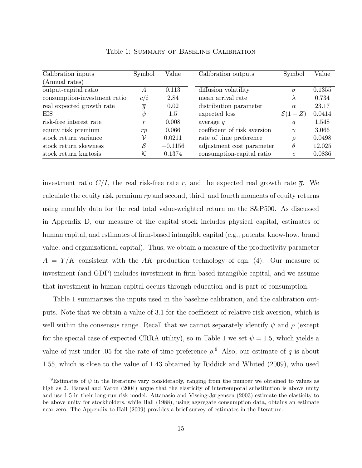| Calibration inputs           | Symbol            | Value     | Calibration outputs          | Symbol             | Value  |
|------------------------------|-------------------|-----------|------------------------------|--------------------|--------|
| (Annual rates)               |                   |           |                              |                    |        |
| output-capital ratio         | A                 | 0.113     | diffusion volatility         | $\sigma$           | 0.1355 |
| consumption-investment ratio | c/i               | 2.84      | mean arrival rate            | $\lambda$          | 0.734  |
| real expected growth rate    | $\overline{g}$    | 0.02      | distribution parameter       | $\alpha$           | 23.17  |
| EIS                          | $\psi$            | 1.5       | expected loss                | $\mathcal{E}(1-Z)$ | 0.0414 |
| risk-free interest rate      | $\boldsymbol{r}$  | 0.008     | average $q$                  | $\boldsymbol{q}$   | 1.548  |
| equity risk premium          | rp                | 0.066     | coefficient of risk aversion | $\gamma$           | 3.066  |
| stock return variance        | ν                 | 0.0211    | rate of time preference      | $\varrho$          | 0.0498 |
| stock return skewness        | $\mathcal{S}_{0}$ | $-0.1156$ | adjustment cost parameter    | $\theta$           | 12.025 |
| stock return kurtosis        | $\cal K$          | 0.1374    | consumption-capital ratio    | $\mathfrak c$      | 0.0836 |

Table 1: Summary of Baseline Calibration

investment ratio  $C/I$ , the real risk-free rate r, and the expected real growth rate  $\bar{g}$ . We calculate the equity risk premium  $rp$  and second, third, and fourth moments of equity returns using monthly data for the real total value-weighted return on the S&P500. As discussed in Appendix D, our measure of the capital stock includes physical capital, estimates of human capital, and estimates of firm-based intangible capital (e.g., patents, know-how, brand value, and organizational capital). Thus, we obtain a measure of the productivity parameter  $A = Y/K$  consistent with the AK production technology of eqn. (4). Our measure of investment (and GDP) includes investment in firm-based intangible capital, and we assume that investment in human capital occurs through education and is part of consumption.

Table 1 summarizes the inputs used in the baseline calibration, and the calibration outputs. Note that we obtain a value of 3.1 for the coefficient of relative risk aversion, which is well within the consensus range. Recall that we cannot separately identify  $\psi$  and  $\rho$  (except for the special case of expected CRRA utility), so in Table 1 we set  $\psi = 1.5$ , which yields a value of just under .05 for the rate of time preference  $\rho$ .<sup>9</sup> Also, our estimate of q is about 1.55, which is close to the value of 1.43 obtained by Riddick and Whited (2009), who used

<sup>&</sup>lt;sup>9</sup>Estimates of  $\psi$  in the literature vary considerably, ranging from the number we obtained to values as high as 2. Bansal and Yaron (2004) argue that the elasticity of intertemporal substitution is above unity and use 1.5 in their long-run risk model. Attanasio and Vissing-Jørgensen (2003) estimate the elasticity to be above unity for stockholders, while Hall (1988), using aggregate consumption data, obtains an estimate near zero. The Appendix to Hall (2009) provides a brief survey of estimates in the literature.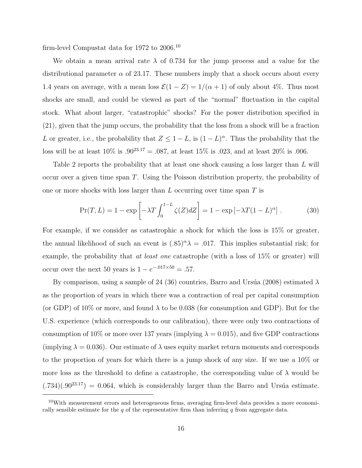firm-level Compustat data for 1972 to 2006.<sup>10</sup>

We obtain a mean arrival rate  $\lambda$  of 0.734 for the jump process and a value for the distributional parameter  $\alpha$  of 23.17. These numbers imply that a shock occurs about every 1.4 years on average, with a mean loss  $\mathcal{E}(1 - Z) = 1/(\alpha + 1)$  of only about 4%. Thus most shocks are small, and could be viewed as part of the "normal" fluctuation in the capital stock. What about larger, "catastrophic" shocks? For the power distribution specified in (21), given that the jump occurs, the probability that the loss from a shock will be a fraction L or greater, i.e., the probability that  $Z \leq 1 - L$ , is  $(1 - L)^{\alpha}$ . Thus the probability that the loss will be at least  $10\%$  is  $.90^{23.17} = .087$ , at least  $15\%$  is  $.023$ , and at least  $20\%$  is  $.006$ .

Table 2 reports the probability that at least one shock causing a loss larger than L will occur over a given time span T. Using the Poisson distribution property, the probability of one or more shocks with loss larger than  $L$  occurring over time span  $T$  is

$$
\Pr(T, L) = 1 - \exp\left[-\lambda T \int_0^{1-L} \zeta(Z) dZ\right] = 1 - \exp\left[-\lambda T (1 - L)^\alpha\right].\tag{30}
$$

For example, if we consider as catastrophic a shock for which the loss is 15% or greater, the annual likelihood of such an event is  $(.85)^{\alpha}\lambda = .017$ . This implies substantial risk; for example, the probability that *at least one* catastrophe (with a loss of 15\% or greater) will occur over the next 50 years is  $1 - e^{-0.017 \times 50} = .57$ .

By comparison, using a sample of 24 (36) countries, Barro and Ursúa (2008) estimated  $\lambda$ as the proportion of years in which there was a contraction of real per capital consumption (or GDP) of 10% or more, and found  $\lambda$  to be 0.038 (for consumption and GDP). But for the U.S. experience (which corresponds to our calibration), there were only two contractions of consumption of 10% or more over 137 years (implying  $\lambda = 0.015$ ), and five GDP contractions (implying  $\lambda = 0.036$ ). Our estimate of  $\lambda$  uses equity market return moments and corresponds to the proportion of years for which there is a jump shock of any size. If we use a 10% or more loss as the threshold to define a catastrophe, the corresponding value of  $\lambda$  would be  $(.734)(.90^{23.17}) = 0.064$ , which is considerably larger than the Barro and Ursúa estimate.

<sup>10</sup>With measurement errors and heterogeneous firms, averaging firm-level data provides a more economically sensible estimate for the q of the representative firm than inferring  $q$  from aggregate data.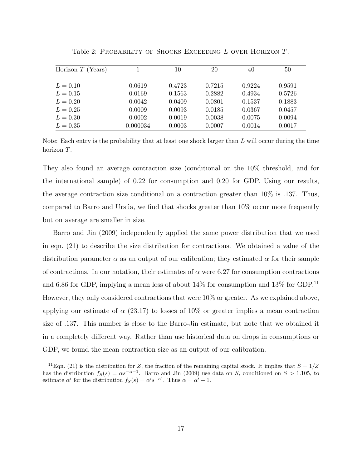| Horizon $T$ (<br>(Years) |          | 10     | 20     | 40     | 50     |
|--------------------------|----------|--------|--------|--------|--------|
|                          |          |        |        |        |        |
| $L = 0.10$               | 0.0619   | 0.4723 | 0.7215 | 0.9224 | 0.9591 |
| $L = 0.15$               | 0.0169   | 0.1563 | 0.2882 | 0.4934 | 0.5726 |
| $L = 0.20$               | 0.0042   | 0.0409 | 0.0801 | 0.1537 | 0.1883 |
| $L = 0.25$               | 0.0009   | 0.0093 | 0.0185 | 0.0367 | 0.0457 |
| $L = 0.30$               | 0.0002   | 0.0019 | 0.0038 | 0.0075 | 0.0094 |
| $L = 0.35$               | 0.000034 | 0.0003 | 0.0007 | 0.0014 | 0.0017 |

Table 2: PROBABILITY OF SHOCKS EXCEEDING L OVER HORIZON T.

Note: Each entry is the probability that at least one shock larger than  $L$  will occur during the time horizon T.

They also found an average contraction size (conditional on the 10% threshold, and for the international sample) of 0.22 for consumption and 0.20 for GDP. Using our results, the average contraction size conditional on a contraction greater than 10% is .137. Thus, compared to Barro and Ursúa, we find that shocks greater than  $10\%$  occur more frequently but on average are smaller in size.

Barro and Jin (2009) independently applied the same power distribution that we used in eqn. (21) to describe the size distribution for contractions. We obtained a value of the distribution parameter  $\alpha$  as an output of our calibration; they estimated  $\alpha$  for their sample of contractions. In our notation, their estimates of  $\alpha$  were 6.27 for consumption contractions and 6.86 for GDP, implying a mean loss of about 14% for consumption and 13% for GDP.<sup>11</sup> However, they only considered contractions that were 10% or greater. As we explained above, applying our estimate of  $\alpha$  (23.17) to losses of 10% or greater implies a mean contraction size of .137. This number is close to the Barro-Jin estimate, but note that we obtained it in a completely different way. Rather than use historical data on drops in consumptions or GDP, we found the mean contraction size as an output of our calibration.

<sup>&</sup>lt;sup>11</sup>Eqn. (21) is the distribution for Z, the fraction of the remaining capital stock. It implies that  $S = 1/Z$ has the distribution  $f_S(s) = \alpha s^{-\alpha-1}$ . Barro and Jin (2009) use data on S, conditioned on  $S > 1.105$ , to estimate  $\alpha'$  for the distribution  $f_S(s) = \alpha' s^{-\alpha'}$ . Thus  $\alpha = \alpha' - 1$ .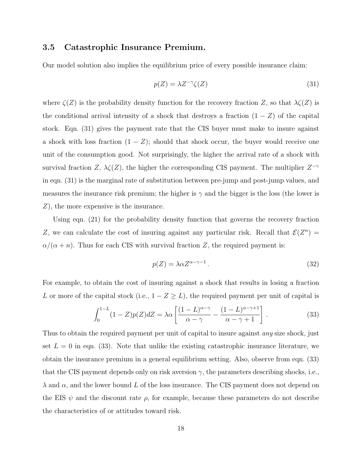### 3.5 Catastrophic Insurance Premium.

Our model solution also implies the equilibrium price of every possible insurance claim:

$$
p(Z) = \lambda Z^{-\gamma} \zeta(Z) \tag{31}
$$

where  $\zeta(Z)$  is the probability density function for the recovery fraction Z, so that  $\lambda \zeta(Z)$  is the conditional arrival intensity of a shock that destroys a fraction  $(1 - Z)$  of the capital stock. Eqn. (31) gives the payment rate that the CIS buyer must make to insure against a shock with loss fraction  $(1 - Z)$ ; should that shock occur, the buyer would receive one unit of the consumption good. Not surprisingly, the higher the arrival rate of a shock with survival fraction Z,  $\lambda \zeta(Z)$ , the higher the corresponding CIS payment. The multiplier  $Z^{-\gamma}$ in eqn. (31) is the marginal rate of substitution between pre-jump and post-jump values, and measures the insurance risk premium; the higher is  $\gamma$  and the bigger is the loss (the lower is Z), the more expensive is the insurance.

Using eqn. (21) for the probability density function that governs the recovery fraction Z, we can calculate the cost of insuring against any particular risk. Recall that  $\mathcal{E}(Z^n) =$  $\alpha/(\alpha + n)$ . Thus for each CIS with survival fraction Z, the required payment is:

$$
p(Z) = \lambda \alpha Z^{\alpha - \gamma - 1}.
$$
\n(32)

For example, to obtain the cost of insuring against a shock that results in losing a fraction L or more of the capital stock (i.e.,  $1 - Z \geq L$ ), the required payment per unit of capital is

$$
\int_0^{1-L} (1-Z)p(Z)dZ = \lambda \alpha \left[ \frac{(1-L)^{\alpha-\gamma}}{\alpha-\gamma} - \frac{(1-L)^{\alpha-\gamma+1}}{\alpha-\gamma+1} \right].
$$
 (33)

Thus to obtain the required payment per unit of capital to insure against *any* size shock, just set  $L = 0$  in eqn. (33). Note that unlike the existing catastrophic insurance literature, we obtain the insurance premium in a general equilibrium setting. Also, observe from eqn. (33) that the CIS payment depends only on risk aversion  $\gamma$ , the parameters describing shocks, i.e.,  $\lambda$  and  $\alpha$ , and the lower bound L of the loss insurance. The CIS payment does not depend on the EIS  $\psi$  and the discount rate  $\rho$ , for example, because these parameters do not describe the characteristics of or attitudes toward risk.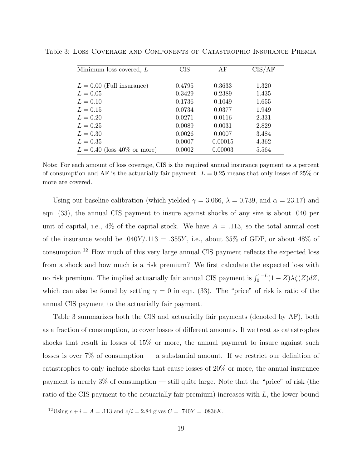| Minimum loss covered, L       | <b>CIS</b> | AF      | CIS/AF |
|-------------------------------|------------|---------|--------|
|                               |            |         |        |
| $L = 0.00$ (Full insurance)   | 0.4795     | 0.3633  | 1.320  |
| $L = 0.05$                    | 0.3429     | 0.2389  | 1.435  |
| $L = 0.10$                    | 0.1736     | 0.1049  | 1.655  |
| $L = 0.15$                    | 0.0734     | 0.0377  | 1.949  |
| $L = 0.20$                    | 0.0271     | 0.0116  | 2.331  |
| $L = 0.25$                    | 0.0089     | 0.0031  | 2.829  |
| $L = 0.30$                    | 0.0026     | 0.0007  | 3.484  |
| $L = 0.35$                    | 0.0007     | 0.00015 | 4.362  |
| $L = 0.40$ (loss 40% or more) | 0.0002     | 0.00003 | 5.564  |

Table 3: Loss Coverage and Components of Catastrophic Insurance Premia

Note: For each amount of loss coverage, CIS is the required annual insurance payment as a percent of consumption and AF is the actuarially fair payment.  $L = 0.25$  means that only losses of 25% or more are covered.

Using our baseline calibration (which yielded  $\gamma = 3.066$ ,  $\lambda = 0.739$ , and  $\alpha = 23.17$ ) and eqn. (33), the annual CIS payment to insure against shocks of any size is about .040 per unit of capital, i.e.,  $4\%$  of the capital stock. We have  $A = .113$ , so the total annual cost of the insurance would be  $.040Y/.113 = .355Y$ , i.e., about 35% of GDP, or about 48% of consumption.<sup>12</sup> How much of this very large annual CIS payment reflects the expected loss from a shock and how much is a risk premium? We first calculate the expected loss with no risk premium. The implied actuarially fair annual CIS payment is  $\int_0^{1-L} (1-Z)\lambda\zeta(Z)dZ$ , which can also be found by setting  $\gamma = 0$  in eqn. (33). The "price" of risk is ratio of the annual CIS payment to the actuarially fair payment.

Table 3 summarizes both the CIS and actuarially fair payments (denoted by AF), both as a fraction of consumption, to cover losses of different amounts. If we treat as catastrophes shocks that result in losses of 15% or more, the annual payment to insure against such losses is over  $7\%$  of consumption — a substantial amount. If we restrict our definition of catastrophes to only include shocks that cause losses of 20% or more, the annual insurance payment is nearly 3% of consumption — still quite large. Note that the "price" of risk (the ratio of the CIS payment to the actuarially fair premium) increases with L, the lower bound

<sup>&</sup>lt;sup>12</sup>Using  $c + i = A = .113$  and  $c/i = 2.84$  gives  $C = .740Y = .0836K$ .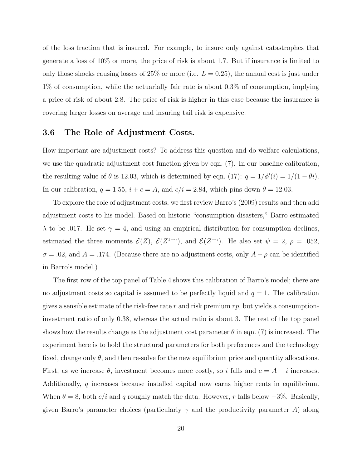of the loss fraction that is insured. For example, to insure only against catastrophes that generate a loss of 10% or more, the price of risk is about 1.7. But if insurance is limited to only those shocks causing losses of  $25\%$  or more (i.e.  $L = 0.25$ ), the annual cost is just under 1% of consumption, while the actuarially fair rate is about 0.3% of consumption, implying a price of risk of about 2.8. The price of risk is higher in this case because the insurance is covering larger losses on average and insuring tail risk is expensive.

### 3.6 The Role of Adjustment Costs.

How important are adjustment costs? To address this question and do welfare calculations, we use the quadratic adjustment cost function given by eqn. (7). In our baseline calibration, the resulting value of  $\theta$  is 12.03, which is determined by eqn. (17):  $q = 1/\phi'(i) = 1/(1 - \theta i)$ . In our calibration,  $q = 1.55$ ,  $i + c = A$ , and  $c/i = 2.84$ , which pins down  $\theta = 12.03$ .

To explore the role of adjustment costs, we first review Barro's (2009) results and then add adjustment costs to his model. Based on historic "consumption disasters," Barro estimated  $\lambda$  to be .017. He set  $\gamma = 4$ , and using an empirical distribution for consumption declines, estimated the three moments  $\mathcal{E}(Z)$ ,  $\mathcal{E}(Z^{1-\gamma})$ , and  $\mathcal{E}(Z^{-\gamma})$ . He also set  $\psi = 2$ ,  $\rho = .052$ ,  $\sigma = .02$ , and  $A = .174$ . (Because there are no adjustment costs, only  $A - \rho$  can be identified in Barro's model.)

The first row of the top panel of Table 4 shows this calibration of Barro's model; there are no adjustment costs so capital is assumed to be perfectly liquid and  $q = 1$ . The calibration gives a sensible estimate of the risk-free rate r and risk premium  $rp$ , but yields a consumptioninvestment ratio of only 0.38, whereas the actual ratio is about 3. The rest of the top panel shows how the results change as the adjustment cost parameter  $\theta$  in eqn. (7) is increased. The experiment here is to hold the structural parameters for both preferences and the technology fixed, change only  $\theta$ , and then re-solve for the new equilibrium price and quantity allocations. First, as we increase  $\theta$ , investment becomes more costly, so i falls and  $c = A - i$  increases. Additionally, q increases because installed capital now earns higher rents in equilibrium. When  $\theta = 8$ , both c/i and q roughly match the data. However, r falls below  $-3\%$ . Basically, given Barro's parameter choices (particularly  $\gamma$  and the productivity parameter A) along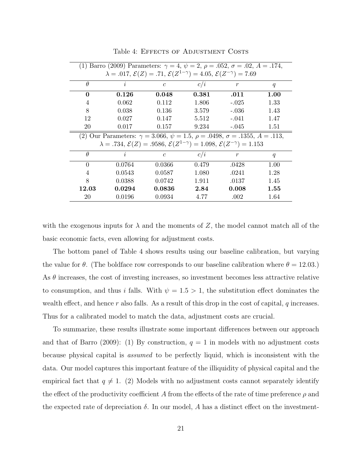| (1) Barro (2009) Parameters: $\gamma = 4, \psi = 2, \rho = .052, \sigma = .02, A = .174,$                     |           |                |       |                |      |  |
|---------------------------------------------------------------------------------------------------------------|-----------|----------------|-------|----------------|------|--|
| $\lambda = .017, \mathcal{E}(Z) = .71, \mathcal{E}(Z^{1-\gamma}) = 4.05, \mathcal{E}(Z^{-\gamma}) = 7.69$     |           |                |       |                |      |  |
| $\theta$                                                                                                      | $\dot{i}$ | $\mathfrak{c}$ | c/i   | $\mathfrak{r}$ | q    |  |
| 0                                                                                                             | 0.126     | 0.048          | 0.381 | .011           | 1.00 |  |
| 4                                                                                                             | 0.062     | 0.112          | 1.806 | $-.025$        | 1.33 |  |
| 8                                                                                                             | 0.038     | 0.136          | 3.579 | $-.036$        | 1.43 |  |
| 12                                                                                                            | 0.027     | 0.147          | 5.512 | $-.041$        | 1.47 |  |
| 20                                                                                                            | 0.017     | 0.157          | 9.234 | $-.045$        | 1.51 |  |
| (2) Our Parameters: $\gamma = 3.066$ , $\psi = 1.5$ , $\rho = .0498$ , $\sigma = .1355$ , $A = .113$ ,        |           |                |       |                |      |  |
| $\lambda = .734, \mathcal{E}(Z) = .9586, \mathcal{E}(Z^{1-\gamma}) = 1.098, \mathcal{E}(Z^{-\gamma}) = 1.153$ |           |                |       |                |      |  |
| $\theta$                                                                                                      | $\dot{i}$ | $\mathfrak{c}$ | c/i   | $\,r$          | q    |  |
| $\Omega$                                                                                                      | 0.0764    | 0.0366         | 0.479 | .0428          | 1.00 |  |
| 4                                                                                                             | 0.0543    | 0.0587         | 1.080 | .0241          | 1.28 |  |
| 8                                                                                                             | 0.0388    | 0.0742         | 1.911 | .0137          | 1.45 |  |
| $12.03\,$                                                                                                     | 0.0294    | 0.0836         | 2.84  | 0.008          | 1.55 |  |
| 20                                                                                                            | 0.0196    | 0.0934         | 4.77  | .002           | 1.64 |  |

Table 4: EFFECTS OF ADJUSTMENT COSTS

with the exogenous inputs for  $\lambda$  and the moments of Z, the model cannot match all of the basic economic facts, even allowing for adjustment costs.

The bottom panel of Table 4 shows results using our baseline calibration, but varying the value for  $\theta$ . (The boldface row corresponds to our baseline calibration where  $\theta = 12.03$ .) As  $\theta$  increases, the cost of investing increases, so investment becomes less attractive relative to consumption, and thus i falls. With  $\psi = 1.5 > 1$ , the substitution effect dominates the wealth effect, and hence r also falls. As a result of this drop in the cost of capital,  $q$  increases. Thus for a calibrated model to match the data, adjustment costs are crucial.

To summarize, these results illustrate some important differences between our approach and that of Barro (2009): (1) By construction,  $q = 1$  in models with no adjustment costs because physical capital is assumed to be perfectly liquid, which is inconsistent with the data. Our model captures this important feature of the illiquidity of physical capital and the empirical fact that  $q \neq 1$ . (2) Models with no adjustment costs cannot separately identify the effect of the productivity coefficient A from the effects of the rate of time preference  $\rho$  and the expected rate of depreciation  $\delta$ . In our model, A has a distinct effect on the investment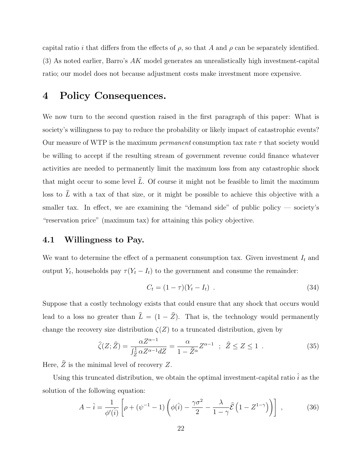capital ratio i that differs from the effects of  $\rho$ , so that A and  $\rho$  can be separately identified. (3) As noted earlier, Barro's AK model generates an unrealistically high investment-capital ratio; our model does not because adjustment costs make investment more expensive.

# 4 Policy Consequences.

We now turn to the second question raised in the first paragraph of this paper: What is society's willingness to pay to reduce the probability or likely impact of catastrophic events? Our measure of WTP is the maximum *permanent* consumption tax rate  $\tau$  that society would be willing to accept if the resulting stream of government revenue could finance whatever activities are needed to permanently limit the maximum loss from any catastrophic shock that might occur to some level  $\hat{L}$ . Of course it might not be feasible to limit the maximum loss to  $\hat{L}$  with a tax of that size, or it might be possible to achieve this objective with a smaller tax. In effect, we are examining the "demand side" of public policy  $-$  society's "reservation price" (maximum tax) for attaining this policy objective.

### 4.1 Willingness to Pay.

We want to determine the effect of a permanent consumption tax. Given investment  $I_t$  and output  $Y_t$ , households pay  $\tau(Y_t - I_t)$  to the government and consume the remainder:

$$
C_t = (1 - \tau)(Y_t - I_t) \tag{34}
$$

Suppose that a costly technology exists that could ensure that any shock that occurs would lead to a loss no greater than  $\hat{L} = (1 - \hat{Z})$ . That is, the technology would permanently change the recovery size distribution  $\zeta(Z)$  to a truncated distribution, given by

$$
\widehat{\zeta}(Z;\widehat{Z}) = \frac{\alpha Z^{\alpha - 1}}{\int_{\widehat{Z}}^1 \alpha Z^{\alpha - 1} dZ} = \frac{\alpha}{1 - \widehat{Z}^{\alpha}} Z^{\alpha - 1} \; ; \; \widehat{Z} \le Z \le 1 \; . \tag{35}
$$

Here,  $Z$  is the minimal level of recovery  $Z$ .

Using this truncated distribution, we obtain the optimal investment-capital ratio  $\hat{i}$  as the solution of the following equation:

$$
A - \hat{i} = \frac{1}{\phi'(\hat{i})} \left[ \rho + (\psi^{-1} - 1) \left( \phi(\hat{i}) - \frac{\gamma \sigma^2}{2} - \frac{\lambda}{1 - \gamma} \hat{\mathcal{E}} \left( 1 - Z^{1 - \gamma} \right) \right) \right],
$$
 (36)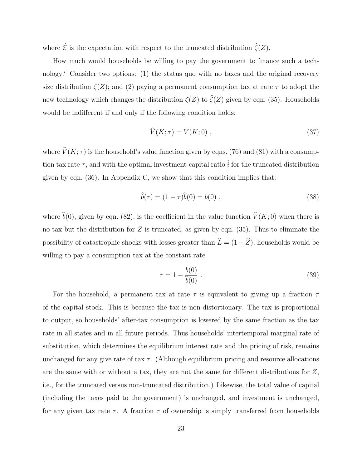where  $\hat{\mathcal{E}}$  is the expectation with respect to the truncated distribution  $\hat{\zeta}(Z)$ .

How much would households be willing to pay the government to finance such a technology? Consider two options: (1) the status quo with no taxes and the original recovery size distribution  $\zeta(Z)$ ; and (2) paying a permanent consumption tax at rate  $\tau$  to adopt the new technology which changes the distribution  $\zeta(Z)$  to  $\hat{\zeta}(Z)$  given by eqn. (35). Households would be indifferent if and only if the following condition holds:

$$
\widehat{V}(K;\tau) = V(K;0) \tag{37}
$$

where  $\hat{V}(K; \tau)$  is the household's value function given by eqns. (76) and (81) with a consumption tax rate  $\tau$ , and with the optimal investment-capital ratio  $\hat{i}$  for the truncated distribution given by eqn. (36). In Appendix C, we show that this condition implies that:

$$
\hat{b}(\tau) = (1 - \tau)\hat{b}(0) = b(0) \tag{38}
$$

where  $\hat{b}(0)$ , given by eqn. (82), is the coefficient in the value function  $\hat{V}(K; 0)$  when there is no tax but the distribution for  $Z$  is truncated, as given by eqn. (35). Thus to eliminate the possibility of catastrophic shocks with losses greater than  $\hat{L} = (1 - \hat{Z})$ , households would be willing to pay a consumption tax at the constant rate

$$
\tau = 1 - \frac{b(0)}{\hat{b}(0)} \tag{39}
$$

For the household, a permanent tax at rate  $\tau$  is equivalent to giving up a fraction  $\tau$ of the capital stock. This is because the tax is non-distortionary. The tax is proportional to output, so households' after-tax consumption is lowered by the same fraction as the tax rate in all states and in all future periods. Thus households' intertemporal marginal rate of substitution, which determines the equilibrium interest rate and the pricing of risk, remains unchanged for any give rate of tax  $\tau$ . (Although equilibrium pricing and resource allocations are the same with or without a tax, they are not the same for different distributions for Z, i.e., for the truncated versus non-truncated distribution.) Likewise, the total value of capital (including the taxes paid to the government) is unchanged, and investment is unchanged, for any given tax rate  $\tau$ . A fraction  $\tau$  of ownership is simply transferred from households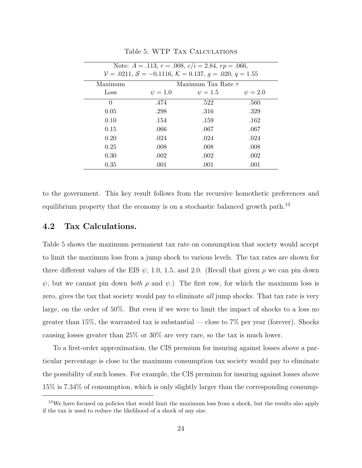| Note: $A = .113$ , $r = .008$ , $c/i = 2.84$ , $rp = .066$ , |                                                         |                         |              |  |  |
|--------------------------------------------------------------|---------------------------------------------------------|-------------------------|--------------|--|--|
|                                                              | $V = .0211, S = -0.1116, K = 0.137, g = .020, q = 1.55$ |                         |              |  |  |
| Maximum                                                      |                                                         | Maximum Tax Rate $\tau$ |              |  |  |
| Loss                                                         | $\psi = 1.0$                                            | $\psi = 1.5$            | $\psi = 2.0$ |  |  |
| $\theta$                                                     | .474                                                    | .522                    | .560         |  |  |
| 0.05                                                         | .298                                                    | .316                    | .329         |  |  |
| 0.10                                                         | .154                                                    | .159                    | .162         |  |  |
| 0.15                                                         | .066                                                    | .067                    | .067         |  |  |
| 0.20                                                         | .024                                                    | .024                    | .024         |  |  |
| 0.25                                                         | .008                                                    | .008                    | .008         |  |  |
| 0.30                                                         | .002                                                    | .002                    | .002         |  |  |
| 0.35                                                         | .001                                                    | .001                    | .001         |  |  |

Table 5: WTP Tax Calculations

to the government. This key result follows from the recursive homothetic preferences and equilibrium property that the economy is on a stochastic balanced growth path.<sup>13</sup>

### 4.2 Tax Calculations.

Table 5 shows the maximum permanent tax rate on consumption that society would accept to limit the maximum loss from a jump shock to various levels. The tax rates are shown for three different values of the EIS  $\psi$ , 1.0, 1.5, and 2.0. (Recall that given  $\rho$  we can pin down  $\psi$ , but we cannot pin down *both*  $\rho$  and  $\psi$ .) The first row, for which the maximum loss is zero, gives the tax that society would pay to eliminate *all* jump shocks. That tax rate is very large, on the order of 50%. But even if we were to limit the impact of shocks to a loss no greater than 15%, the warranted tax is substantial — close to  $7\%$  per year (forever). Shocks causing losses greater than 25% or 30% are very rare, so the tax is much lower.

To a first-order approximation, the CIS premium for insuring against losses above a particular percentage is close to the maximum consumption tax society would pay to eliminate the possibility of such losses. For example, the CIS premium for insuring against losses above 15% is 7.34% of consumption, which is only slightly larger than the corresponding consump-

<sup>&</sup>lt;sup>13</sup>We have focused on policies that would limit the maximum loss from a shock, but the results also apply if the tax is used to reduce the likelihood of a shock of any size.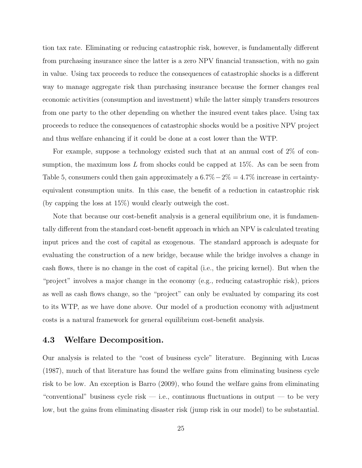tion tax rate. Eliminating or reducing catastrophic risk, however, is fundamentally different from purchasing insurance since the latter is a zero NPV financial transaction, with no gain in value. Using tax proceeds to reduce the consequences of catastrophic shocks is a different way to manage aggregate risk than purchasing insurance because the former changes real economic activities (consumption and investment) while the latter simply transfers resources from one party to the other depending on whether the insured event takes place. Using tax proceeds to reduce the consequences of catastrophic shocks would be a positive NPV project and thus welfare enhancing if it could be done at a cost lower than the WTP.

For example, suppose a technology existed such that at an annual cost of 2% of consumption, the maximum loss  $L$  from shocks could be capped at 15%. As can be seen from Table 5, consumers could then gain approximately a  $6.7\%-2\%=4.7\%$  increase in certaintyequivalent consumption units. In this case, the benefit of a reduction in catastrophic risk (by capping the loss at 15%) would clearly outweigh the cost.

Note that because our cost-benefit analysis is a general equilibrium one, it is fundamentally different from the standard cost-benefit approach in which an NPV is calculated treating input prices and the cost of capital as exogenous. The standard approach is adequate for evaluating the construction of a new bridge, because while the bridge involves a change in cash flows, there is no change in the cost of capital (i.e., the pricing kernel). But when the "project" involves a major change in the economy (e.g., reducing catastrophic risk), prices as well as cash flows change, so the "project" can only be evaluated by comparing its cost to its WTP, as we have done above. Our model of a production economy with adjustment costs is a natural framework for general equilibrium cost-benefit analysis.

### 4.3 Welfare Decomposition.

Our analysis is related to the "cost of business cycle" literature. Beginning with Lucas (1987), much of that literature has found the welfare gains from eliminating business cycle risk to be low. An exception is Barro (2009), who found the welfare gains from eliminating "conventional" business cycle risk — i.e., continuous fluctuations in output — to be very low, but the gains from eliminating disaster risk (jump risk in our model) to be substantial.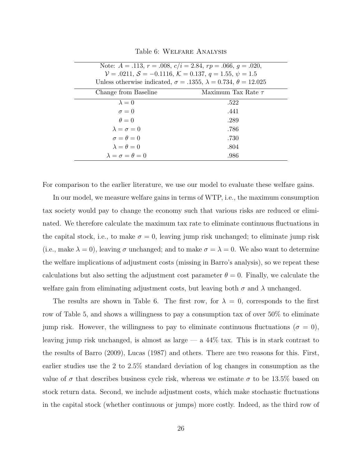| Note: $A = .113$ , $r = .008$ , $c/i = 2.84$ , $rp = .066$ , $q = .020$ ,<br>$V = .0211, S = -0.1116, K = 0.137, q = 1.55, \psi = 1.5$<br>Unless otherwise indicated, $\sigma = .1355$ , $\lambda = 0.734$ , $\theta = 12.025$ |                         |  |  |
|--------------------------------------------------------------------------------------------------------------------------------------------------------------------------------------------------------------------------------|-------------------------|--|--|
| Change from Baseline                                                                                                                                                                                                           | Maximum Tax Rate $\tau$ |  |  |
| $\lambda = 0$                                                                                                                                                                                                                  | .522                    |  |  |
| $\sigma = 0$                                                                                                                                                                                                                   | .441                    |  |  |
| $\theta = 0$                                                                                                                                                                                                                   | .289                    |  |  |
| $\lambda = \sigma = 0$                                                                                                                                                                                                         | .786                    |  |  |
| $\sigma = \theta = 0$                                                                                                                                                                                                          | .730                    |  |  |
| $\lambda = \theta = 0$                                                                                                                                                                                                         | .804                    |  |  |
| $\lambda = \sigma = \theta = 0$                                                                                                                                                                                                | .986                    |  |  |

Table 6: Welfare Analysis

For comparison to the earlier literature, we use our model to evaluate these welfare gains.

In our model, we measure welfare gains in terms of WTP, i.e., the maximum consumption tax society would pay to change the economy such that various risks are reduced or eliminated. We therefore calculate the maximum tax rate to eliminate continuous fluctuations in the capital stock, i.e., to make  $\sigma = 0$ , leaving jump risk unchanged; to eliminate jump risk (i.e., make  $\lambda = 0$ ), leaving  $\sigma$  unchanged; and to make  $\sigma = \lambda = 0$ . We also want to determine the welfare implications of adjustment costs (missing in Barro's analysis), so we repeat these calculations but also setting the adjustment cost parameter  $\theta = 0$ . Finally, we calculate the welfare gain from eliminating adjustment costs, but leaving both  $\sigma$  and  $\lambda$  unchanged.

The results are shown in Table 6. The first row, for  $\lambda = 0$ , corresponds to the first row of Table 5, and shows a willingness to pay a consumption tax of over 50% to eliminate jump risk. However, the willingness to pay to eliminate continuous fluctuations ( $\sigma = 0$ ), leaving jump risk unchanged, is almost as large — a 44% tax. This is in stark contrast to the results of Barro (2009), Lucas (1987) and others. There are two reasons for this. First, earlier studies use the 2 to 2.5% standard deviation of log changes in consumption as the value of  $\sigma$  that describes business cycle risk, whereas we estimate  $\sigma$  to be 13.5% based on stock return data. Second, we include adjustment costs, which make stochastic fluctuations in the capital stock (whether continuous or jumps) more costly. Indeed, as the third row of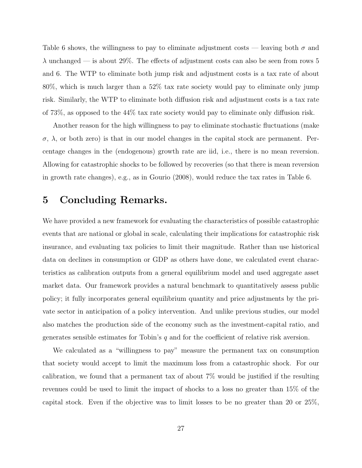Table 6 shows, the willingness to pay to eliminate adjustment costs — leaving both  $\sigma$  and  $\lambda$  unchanged — is about 29%. The effects of adjustment costs can also be seen from rows 5 and 6. The WTP to eliminate both jump risk and adjustment costs is a tax rate of about 80%, which is much larger than a 52% tax rate society would pay to eliminate only jump risk. Similarly, the WTP to eliminate both diffusion risk and adjustment costs is a tax rate of 73%, as opposed to the 44% tax rate society would pay to eliminate only diffusion risk.

Another reason for the high willingness to pay to eliminate stochastic fluctuations (make  $\sigma$ ,  $\lambda$ , or both zero) is that in our model changes in the capital stock are permanent. Percentage changes in the (endogenous) growth rate are iid, i.e., there is no mean reversion. Allowing for catastrophic shocks to be followed by recoveries (so that there is mean reversion in growth rate changes), e.g., as in Gourio (2008), would reduce the tax rates in Table 6.

# 5 Concluding Remarks.

We have provided a new framework for evaluating the characteristics of possible catastrophic events that are national or global in scale, calculating their implications for catastrophic risk insurance, and evaluating tax policies to limit their magnitude. Rather than use historical data on declines in consumption or GDP as others have done, we calculated event characteristics as calibration outputs from a general equilibrium model and used aggregate asset market data. Our framework provides a natural benchmark to quantitatively assess public policy; it fully incorporates general equilibrium quantity and price adjustments by the private sector in anticipation of a policy intervention. And unlike previous studies, our model also matches the production side of the economy such as the investment-capital ratio, and generates sensible estimates for Tobin's  $q$  and for the coefficient of relative risk aversion.

We calculated as a "willingness to pay" measure the permanent tax on consumption that society would accept to limit the maximum loss from a catastrophic shock. For our calibration, we found that a permanent tax of about 7% would be justified if the resulting revenues could be used to limit the impact of shocks to a loss no greater than 15% of the capital stock. Even if the objective was to limit losses to be no greater than 20 or 25%,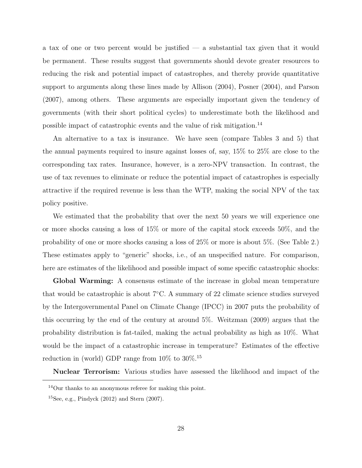a tax of one or two percent would be justified  $-$  a substantial tax given that it would be permanent. These results suggest that governments should devote greater resources to reducing the risk and potential impact of catastrophes, and thereby provide quantitative support to arguments along these lines made by Allison (2004), Posner (2004), and Parson (2007), among others. These arguments are especially important given the tendency of governments (with their short political cycles) to underestimate both the likelihood and possible impact of catastrophic events and the value of risk mitigation.<sup>14</sup>

An alternative to a tax is insurance. We have seen (compare Tables 3 and 5) that the annual payments required to insure against losses of, say, 15% to 25% are close to the corresponding tax rates. Insurance, however, is a zero-NPV transaction. In contrast, the use of tax revenues to eliminate or reduce the potential impact of catastrophes is especially attractive if the required revenue is less than the WTP, making the social NPV of the tax policy positive.

We estimated that the probability that over the next 50 years we will experience one or more shocks causing a loss of 15% or more of the capital stock exceeds 50%, and the probability of one or more shocks causing a loss of 25% or more is about 5%. (See Table 2.) These estimates apply to "generic" shocks, i.e., of an unspecified nature. For comparison, here are estimates of the likelihood and possible impact of some specific catastrophic shocks:

Global Warming: A consensus estimate of the increase in global mean temperature that would be catastrophic is about  $7^{\circ}$ C. A summary of 22 climate science studies surveyed by the Intergovernmental Panel on Climate Change (IPCC) in 2007 puts the probability of this occurring by the end of the century at around 5%. Weitzman (2009) argues that the probability distribution is fat-tailed, making the actual probability as high as 10%. What would be the impact of a catastrophic increase in temperature? Estimates of the effective reduction in (world) GDP range from  $10\%$  to  $30\%$ .<sup>15</sup>

Nuclear Terrorism: Various studies have assessed the likelihood and impact of the

<sup>&</sup>lt;sup>14</sup>Our thanks to an anonymous referee for making this point.

<sup>&</sup>lt;sup>15</sup>See, e.g., Pindyck  $(2012)$  and Stern  $(2007)$ .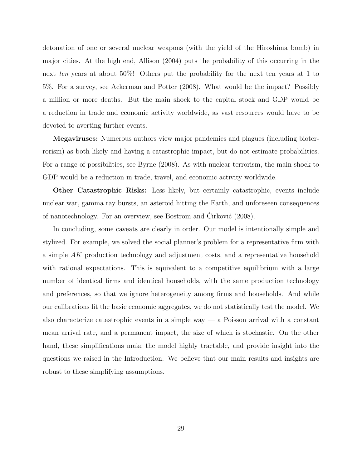detonation of one or several nuclear weapons (with the yield of the Hiroshima bomb) in major cities. At the high end, Allison (2004) puts the probability of this occurring in the next ten years at about 50%! Others put the probability for the next ten years at 1 to 5%. For a survey, see Ackerman and Potter (2008). What would be the impact? Possibly a million or more deaths. But the main shock to the capital stock and GDP would be a reduction in trade and economic activity worldwide, as vast resources would have to be devoted to averting further events.

Megaviruses: Numerous authors view major pandemics and plagues (including bioterrorism) as both likely and having a catastrophic impact, but do not estimate probabilities. For a range of possibilities, see Byrne (2008). As with nuclear terrorism, the main shock to GDP would be a reduction in trade, travel, and economic activity worldwide.

Other Catastrophic Risks: Less likely, but certainly catastrophic, events include nuclear war, gamma ray bursts, an asteroid hitting the Earth, and unforeseen consequences of nanotechnology. For an overview, see Bostrom and Cirković (2008).

In concluding, some caveats are clearly in order. Our model is intentionally simple and stylized. For example, we solved the social planner's problem for a representative firm with a simple AK production technology and adjustment costs, and a representative household with rational expectations. This is equivalent to a competitive equilibrium with a large number of identical firms and identical households, with the same production technology and preferences, so that we ignore heterogeneity among firms and households. And while our calibrations fit the basic economic aggregates, we do not statistically test the model. We also characterize catastrophic events in a simple way  $-$  a Poisson arrival with a constant mean arrival rate, and a permanent impact, the size of which is stochastic. On the other hand, these simplifications make the model highly tractable, and provide insight into the questions we raised in the Introduction. We believe that our main results and insights are robust to these simplifying assumptions.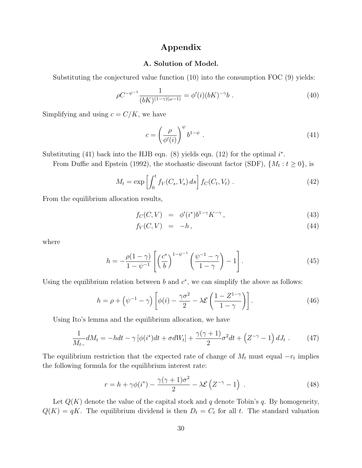### Appendix

### A. Solution of Model.

Substituting the conjectured value function (10) into the consumption FOC (9) yields:

$$
\rho C^{-\psi^{-1}} \frac{1}{(bK)^{(1-\gamma)(\omega-1)}} = \phi'(i)(bK)^{-\gamma} b . \tag{40}
$$

Simplifying and using  $c = C/K,$  we have

$$
c = \left(\frac{\rho}{\phi'(i)}\right)^{\psi} b^{1-\psi} . \tag{41}
$$

Substituting (41) back into the HJB eqn. (8) yields eqn. (12) for the optimal  $i^*$ .

From Duffie and Epstein (1992), the stochastic discount factor (SDF),  $\{M_t : t \geq 0\}$ , is

$$
M_t = \exp\left[\int_0^t f_V(C_s, V_s) ds\right] f_C(C_t, V_t) . \tag{42}
$$

From the equilibrium allocation results,

$$
f_C(C, V) = \phi'(i^*)b^{1-\gamma}K^{-\gamma}, \qquad (43)
$$

$$
f_V(C, V) = -h, \tag{44}
$$

where

$$
h = -\frac{\rho(1-\gamma)}{1-\psi^{-1}} \left[ \left(\frac{c^*}{b}\right)^{1-\psi^{-1}} \left(\frac{\psi^{-1}-\gamma}{1-\gamma}\right) - 1 \right]. \tag{45}
$$

Using the equilibrium relation between  $b$  and  $c^*$ , we can simplify the above as follows:

$$
h = \rho + \left(\psi^{-1} - \gamma\right) \left[\phi(i) - \frac{\gamma \sigma^2}{2} - \lambda \mathcal{E}\left(\frac{1 - Z^{1-\gamma}}{1 - \gamma}\right)\right].\tag{46}
$$

Using Ito's lemma and the equilibrium allocation, we have

$$
\frac{1}{M_{t-}}dM_t = -hdt - \gamma \left[\phi(i^*)dt + \sigma dW_t\right] + \frac{\gamma(\gamma+1)}{2}\sigma^2 dt + \left(Z^{-\gamma} - 1\right) dJ_t \ . \tag{47}
$$

The equilibrium restriction that the expected rate of change of  $M_t$  must equal  $-r_t$  implies the following formula for the equilibrium interest rate:

$$
r = h + \gamma \phi(i^*) - \frac{\gamma(\gamma + 1)\sigma^2}{2} - \lambda \mathcal{E}\left(Z^{-\gamma} - 1\right) \tag{48}
$$

Let  $Q(K)$  denote the value of the capital stock and q denote Tobin's q. By homogeneity,  $Q(K) = qK$ . The equilibrium dividend is then  $D_t = C_t$  for all t. The standard valuation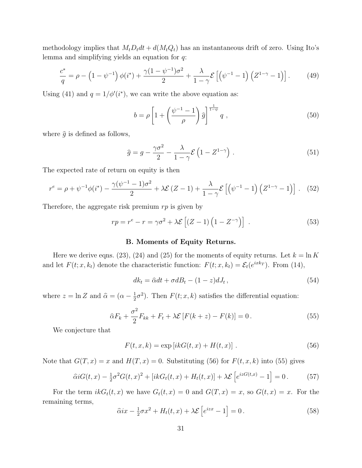methodology implies that  $M_t D_t dt + d(M_t Q_t)$  has an instantaneous drift of zero. Using Ito's lemma and simplifying yields an equation for q:

$$
\frac{c^*}{q} = \rho - \left(1 - \psi^{-1}\right)\phi(i^*) + \frac{\gamma(1 - \psi^{-1})\sigma^2}{2} + \frac{\lambda}{1 - \gamma}\mathcal{E}\left[\left(\psi^{-1} - 1\right)\left(Z^{1 - \gamma} - 1\right)\right].\tag{49}
$$

Using (41) and  $q = 1/\phi'(i^*)$ , we can write the above equation as:

$$
b = \rho \left[ 1 + \left( \frac{\psi^{-1} - 1}{\rho} \right) \hat{g} \right]^{\frac{1}{1 - \psi}} q \tag{50}
$$

where  $\hat{q}$  is defined as follows,

$$
\hat{g} = g - \frac{\gamma \sigma^2}{2} - \frac{\lambda}{1 - \gamma} \mathcal{E} \left( 1 - Z^{1 - \gamma} \right) . \tag{51}
$$

The expected rate of return on equity is then

$$
r^{e} = \rho + \psi^{-1} \phi(i^{*}) - \frac{\gamma(\psi^{-1} - 1)\sigma^{2}}{2} + \lambda \mathcal{E}(Z - 1) + \frac{\lambda}{1 - \gamma} \mathcal{E}\left[\left(\psi^{-1} - 1\right)\left(Z^{1 - \gamma} - 1\right)\right]. \tag{52}
$$

Therefore, the aggregate risk premium  $rp$  is given by

$$
rp = r^{e} - r = \gamma \sigma^{2} + \lambda \mathcal{E} \left[ (Z - 1) \left( 1 - Z^{-\gamma} \right) \right] . \tag{53}
$$

### B. Moments of Equity Returns.

Here we derive eqns. (23), (24) and (25) for the moments of equity returns. Let  $k = \ln K$ and let  $F(t; x, k_t)$  denote the characteristic function:  $F(t; x, k_t) = \mathcal{E}_t(e^{ixk_T})$ . From (14),

$$
dk_t = \hat{\alpha}dt + \sigma dB_t - (1 - z)dJ_t, \qquad (54)
$$

where  $z = \ln Z$  and  $\hat{\alpha} = (\alpha - \frac{1}{2})$  $\frac{1}{2}\sigma^2$ ). Then  $F(t; x, k)$  satisfies the differential equation:

$$
\widehat{\alpha}F_k + \frac{\sigma^2}{2}F_{kk} + F_t + \lambda \mathcal{E}\left[F(k+z) - F(k)\right] = 0. \tag{55}
$$

We conjecture that

$$
F(t, x, k) = \exp[i k G(t, x) + H(t, x)].
$$
\n(56)

Note that  $G(T, x) = x$  and  $H(T, x) = 0$ . Substituting (56) for  $F(t, x, k)$  into (55) gives

$$
\hat{\alpha}iG(t,x) - \frac{1}{2}\sigma^2 G(t,x)^2 + [ikG_t(t,x) + H_t(t,x)] + \lambda \mathcal{E}\left[e^{izG(t,x)} - 1\right] = 0. \tag{57}
$$

For the term  $ikG_t(t, x)$  we have  $G_t(t, x) = 0$  and  $G(T, x) = x$ , so  $G(t, x) = x$ . For the remaining terms,

$$
\widehat{\alpha}ix - \frac{1}{2}\sigma x^2 + H_t(t, x) + \lambda \mathcal{E}\left[e^{izx} - 1\right] = 0.
$$
\n(58)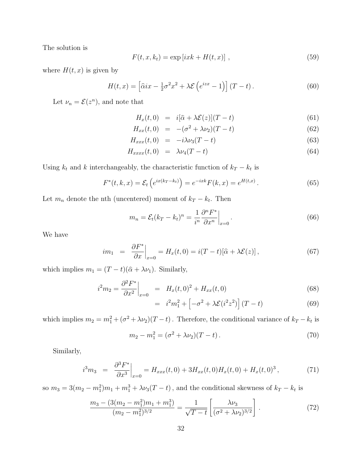The solution is

$$
F(t, x, k_t) = \exp[i x k + H(t, x)], \qquad (59)
$$

where  $H(t, x)$  is given by

$$
H(t,x) = \left[\hat{\alpha}ix - \frac{1}{2}\sigma^2x^2 + \lambda \mathcal{E}\left(e^{izx} - 1\right)\right](T - t).
$$
 (60)

Let  $\nu_n = \mathcal{E}(z^n)$ , and note that

$$
H_x(t,0) = i[\hat{\alpha} + \lambda \mathcal{E}(z)](T-t)
$$
\n(61)

$$
H_{xx}(t,0) = -(\sigma^2 + \lambda \nu_2)(T - t)
$$
\n(62)

$$
H_{xxx}(t,0) = -i\lambda\nu_3(T-t) \tag{63}
$$

$$
H_{xxxx}(t,0) = \lambda \nu_4 (T-t) \tag{64}
$$

Using  $k_t$  and k interchangeably, the characteristic function of  $k_T - k_t$  is

$$
F^*(t, k, x) = \mathcal{E}_t \left( e^{ix(k_T - k_t)} \right) = e^{-ixk} F(k, x) = e^{H(t, x)}.
$$
 (65)

Let  $m_n$  denote the nth (uncentered) moment of  $k_T - k_t$ . Then

$$
m_n = \mathcal{E}_t (k_T - k_t)^n = \frac{1}{i^n} \frac{\partial^n F^*}{\partial x^n} \Big|_{x=0}.
$$
\n(66)

We have

$$
im_1 = \left. \frac{\partial F^*}{\partial x} \right|_{x=0} = H_x(t,0) = i(T-t)[\hat{\alpha} + \lambda \mathcal{E}(z)],\tag{67}
$$

which implies  $m_1 = (T - t)(\hat{\alpha} + \lambda \nu_1)$ . Similarly,

$$
i^{2}m_{2} = \frac{\partial^{2} F^{*}}{\partial x^{2}}\Big|_{x=0} = H_{x}(t,0)^{2} + H_{xx}(t,0)
$$
\n(68)

$$
= i2m12 + \left[ -\sigma2 + \lambda \mathcal{E}(i2z2) \right] (T - t)
$$
 (69)

which implies  $m_2 = m_1^2 + (\sigma^2 + \lambda \nu_2)(T - t)$ . Therefore, the conditional variance of  $k_T - k_t$  is

$$
m_2 - m_1^2 = (\sigma^2 + \lambda \nu_2)(T - t).
$$
\n(70)

Similarly,

$$
i^3 m_3 = \left. \frac{\partial^3 F^*}{\partial x^3} \right|_{x=0} = H_{xxx}(t,0) + 3H_{xx}(t,0)H_x(t,0) + H_x(t,0)^3, \tag{71}
$$

so  $m_3 = 3(m_2 - m_1^2)m_1 + m_1^3 + \lambda \nu_3(T - t)$ , and the conditional skewness of  $k_T - k_t$  is

$$
\frac{m_3 - (3(m_2 - m_1^2)m_1 + m_1^3)}{(m_2 - m_1^2)^{3/2}} = \frac{1}{\sqrt{T - t}} \left[ \frac{\lambda \nu_3}{(\sigma^2 + \lambda \nu_2)^{3/2}} \right].
$$
\n(72)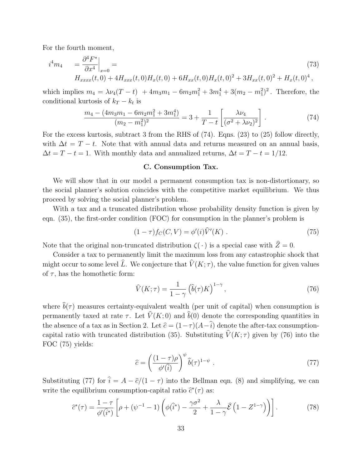For the fourth moment,

$$
i^{4}m_{4} = \frac{\partial^{4}F^{*}}{\partial x^{4}}\Big|_{x=0} =
$$
\n
$$
H_{xxxx}(t,0) + 4H_{xxx}(t,0)H_{x}(t,0) + 6H_{xx}(t,0)H_{x}(t,0)^{2} + 3H_{xx}(t,0)^{2} + H_{x}(t,0)^{4},
$$
\n(73)

which implies  $m_4 = \lambda \nu_4 (T - t) + 4m_3 m_1 - 6m_2 m_1^2 + 3m_1^4 + 3(m_2 - m_1^2)^2$ . Therefore, the conditional kurtosis of  $k_T - k_t$  is

$$
\frac{m_4 - (4m_3m_1 - 6m_2m_1^2 + 3m_1^4)}{(m_2 - m_1^2)^2} = 3 + \frac{1}{T - t} \left[ \frac{\lambda \nu_4}{(\sigma^2 + \lambda \nu_2)^2} \right].
$$
 (74)

For the excess kurtosis, subtract 3 from the RHS of  $(74)$ . Eqns. (23) to (25) follow directly, with  $\Delta t = T - t$ . Note that with annual data and returns measured on an annual basis,  $\Delta t = T - t = 1$ . With monthly data and annualized returns,  $\Delta t = T - t = 1/12$ .

### C. Consumption Tax.

We will show that in our model a permanent consumption tax is non-distortionary, so the social planner's solution coincides with the competitive market equilibrium. We thus proceed by solving the social planner's problem.

With a tax and a truncated distribution whose probability density function is given by eqn. (35), the first-order condition (FOC) for consumption in the planner's problem is

$$
(1 - \tau) f_C(C, V) = \phi'(i) \widehat{V}'(K) . \qquad (75)
$$

Note that the original non-truncated distribution  $\zeta(\cdot)$  is a special case with  $\hat{Z} = 0$ .

Consider a tax to permanently limit the maximum loss from any catastrophic shock that might occur to some level  $\hat{L}$ . We conjecture that  $\hat{V}(K; \tau)$ , the value function for given values of  $\tau$ , has the homothetic form:

$$
\widehat{V}(K;\tau) = \frac{1}{1-\gamma} \left(\widehat{b}(\tau)K\right)^{1-\gamma},\tag{76}
$$

where  $\hat{b}(\tau)$  measures certainty-equivalent wealth (per unit of capital) when consumption is permanently taxed at rate  $\tau$ . Let  $\hat{V}(K; 0)$  and  $\hat{b}(0)$  denote the corresponding quantities in the absence of a tax as in Section 2. Let  $\hat{c} = (1-\tau)(A-\hat{i})$  denote the after-tax consumptioncapital ratio with truncated distribution (35). Substituting  $\hat{V}(K; \tau)$  given by (76) into the FOC (75) yields:

$$
\hat{c} = \left(\frac{(1-\tau)\rho}{\phi'(\hat{i})}\right)^{\psi}\hat{b}(\tau)^{1-\psi} . \tag{77}
$$

Substituting (77) for  $\hat{i} = A - \hat{c}/(1 - \tau)$  into the Bellman eqn. (8) and simplifying, we can write the equilibrium consumption-capital ratio  $\hat{c}^*(\tau)$  as:

$$
\hat{c}^*(\tau) = \frac{1-\tau}{\phi'(\hat{i}^*)} \left[ \rho + (\psi^{-1} - 1) \left( \phi(\hat{i}^*) - \frac{\gamma \sigma^2}{2} + \frac{\lambda}{1-\gamma} \hat{\mathcal{E}} \left( 1 - Z^{1-\gamma} \right) \right) \right]. \tag{78}
$$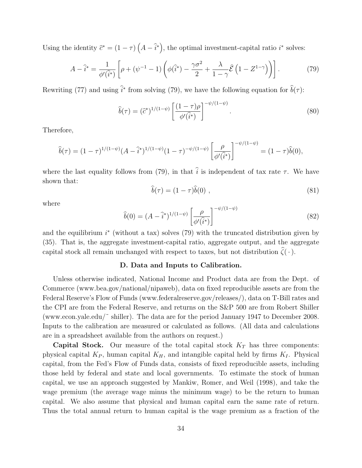Using the identity  $\hat{c}^* = (1 - \tau) \left( A - \hat{i}^* \right)$ , the optimal investment-capital ratio  $i^*$  solves:

$$
A - \hat{i}^* = \frac{1}{\phi'(\hat{i}^*)} \left[ \rho + (\psi^{-1} - 1) \left( \phi(\hat{i}^*) - \frac{\gamma \sigma^2}{2} + \frac{\lambda}{1 - \gamma} \hat{\mathcal{E}} \left( 1 - Z^{1 - \gamma} \right) \right) \right]. \tag{79}
$$

Rewriting (77) and using  $\hat{i}^*$  from solving (79), we have the following equation for  $\hat{b}(\tau)$ :

$$
\widehat{b}(\tau) = (\widehat{c}^*)^{1/(1-\psi)} \left[ \frac{(1-\tau)\rho}{\phi'(\widehat{i}^*)} \right]^{-\psi/(1-\psi)}.
$$
\n(80)

Therefore,

$$
\widehat{b}(\tau) = (1 - \tau)^{1/(1 - \psi)} (A - \widehat{i}^*)^{1/(1 - \psi)} (1 - \tau)^{-\psi/(1 - \psi)} \left[ \frac{\rho}{\phi'(\widehat{i}^*)} \right]^{-\psi/(1 - \psi)} = (1 - \tau)\widehat{b}(0),
$$

where the last equality follows from (79), in that  $\hat{i}$  is independent of tax rate  $\tau$ . We have shown that:

$$
\hat{b}(\tau) = (1 - \tau)\hat{b}(0) \tag{81}
$$

where

$$
\widehat{b}(0) = (A - \widehat{i}^*)^{1/(1-\psi)} \left[ \frac{\rho}{\phi'(\widehat{i}^*)} \right]^{-\psi/(1-\psi)}
$$
(82)

and the equilibrium  $i^*$  (without a tax) solves (79) with the truncated distribution given by (35). That is, the aggregate investment-capital ratio, aggregate output, and the aggregate capital stock all remain unchanged with respect to taxes, but not distribution  $\hat{\zeta}(\cdot)$ .

### D. Data and Inputs to Calibration.

Unless otherwise indicated, National Income and Product data are from the Dept. of Commerce (www.bea.gov/national/nipaweb), data on fixed reproducible assets are from the Federal Reserve's Flow of Funds (www.federalreserve.gov/releases/), data on T-Bill rates and the CPI are from the Federal Reserve, and returns on the S&P 500 are from Robert Shiller (www.econ.yale.edu/˜ shiller). The data are for the period January 1947 to December 2008. Inputs to the calibration are measured or calculated as follows. (All data and calculations are in a spreadsheet available from the authors on request.)

**Capital Stock.** Our measure of the total capital stock  $K_T$  has three components: physical capital  $K_P$ , human capital  $K_H$ , and intangible capital held by firms  $K_I$ . Physical capital, from the Fed's Flow of Funds data, consists of fixed reproducible assets, including those held by federal and state and local governments. To estimate the stock of human capital, we use an approach suggested by Mankiw, Romer, and Weil (1998), and take the wage premium (the average wage minus the minimum wage) to be the return to human capital. We also assume that physical and human capital earn the same rate of return. Thus the total annual return to human capital is the wage premium as a fraction of the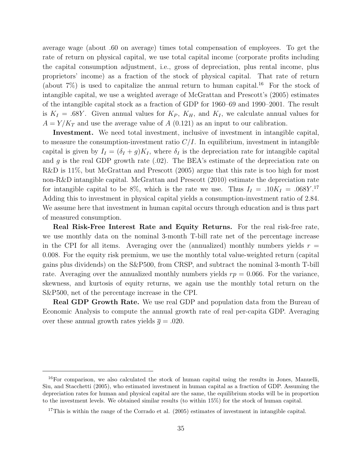average wage (about .60 on average) times total compensation of employees. To get the rate of return on physical capital, we use total capital income (corporate profits including the capital consumption adjustment, i.e., gross of depreciation, plus rental income, plus proprietors' income) as a fraction of the stock of physical capital. That rate of return (about  $7\%$ ) is used to capitalize the annual return to human capital.<sup>16</sup> For the stock of intangible capital, we use a weighted average of McGrattan and Prescott's (2005) estimates of the intangible capital stock as a fraction of GDP for 1960–69 and 1990–2001. The result is  $K_I = .68Y$ . Given annual values for  $K_P$ ,  $K_H$ , and  $K_I$ , we calculate annual values for  $A = Y/K_T$  and use the average value of A (0.121) as an input to our calibration.

Investment. We need total investment, inclusive of investment in intangible capital, to measure the consumption-investment ratio  $C/I$ . In equilibrium, investment in intangible capital is given by  $I_I = (\delta_I + g)K_I$ , where  $\delta_I$  is the depreciation rate for intangible capital and g is the real GDP growth rate  $(.02)$ . The BEA's estimate of the depreciation rate on R&D is 11\%, but McGrattan and Prescott (2005) argue that this rate is too high for most non-R&D intangible capital. McGrattan and Prescott (2010) estimate the depreciation rate for intangible capital to be 8%, which is the rate we use. Thus  $I_I = .10K_I = .068Y.^{17}$ Adding this to investment in physical capital yields a consumption-investment ratio of 2.84. We assume here that investment in human capital occurs through education and is thus part of measured consumption.

Real Risk-Free Interest Rate and Equity Returns. For the real risk-free rate, we use monthly data on the nominal 3-month T-bill rate net of the percentage increase in the CPI for all items. Averaging over the (annualized) monthly numbers yields  $r =$ 0.008. For the equity risk premium, we use the monthly total value-weighted return (capital gains plus dividends) on the S&P500, from CRSP, and subtract the nominal 3-month T-bill rate. Averaging over the annualized monthly numbers yields  $rp = 0.066$ . For the variance, skewness, and kurtosis of equity returns, we again use the monthly total return on the S&P500, net of the percentage increase in the CPI.

**Real GDP Growth Rate.** We use real GDP and population data from the Bureau of Economic Analysis to compute the annual growth rate of real per-capita GDP. Averaging over these annual growth rates yields  $\bar{q} = .020$ .

<sup>&</sup>lt;sup>16</sup>For comparison, we also calculated the stock of human capital using the results in Jones, Manuelli, Siu, and Stacchetti (2005), who estimated investment in human capital as a fraction of GDP. Assuming the depreciation rates for human and physical capital are the same, the equilibrium stocks will be in proportion to the investment levels. We obtained similar results (to within 15%) for the stock of human capital.

 $17$ This is within the range of the Corrado et al. (2005) estimates of investment in intangible capital.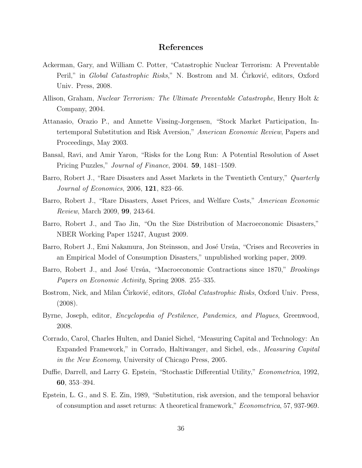### References

- Ackerman, Gary, and William C. Potter, "Catastrophic Nuclear Terrorism: A Preventable Peril," in Global Catastrophic Risks," N. Bostrom and M. Cirković, editors, Oxford Univ. Press, 2008.
- Allison, Graham, Nuclear Terrorism: The Ultimate Preventable Catastrophe, Henry Holt & Company, 2004.
- Attanasio, Orazio P., and Annette Vissing-Jorgensen, "Stock Market Participation, Intertemporal Substitution and Risk Aversion," American Economic Review, Papers and Proceedings, May 2003.
- Bansal, Ravi, and Amir Yaron, "Risks for the Long Run: A Potential Resolution of Asset Pricing Puzzles," Journal of Finance, 2004. 59, 1481–1509.
- Barro, Robert J., "Rare Disasters and Asset Markets in the Twentieth Century," Quarterly Journal of Economics, 2006, 121, 823–66.
- Barro, Robert J., "Rare Disasters, Asset Prices, and Welfare Costs," American Economic Review, March 2009, 99, 243-64.
- Barro, Robert J., and Tao Jin, "On the Size Distribution of Macroeconomic Disasters," NBER Working Paper 15247, August 2009.
- Barro, Robert J., Emi Nakamura, Jon Steinsson, and José Ursúa, "Crises and Recoveries in an Empirical Model of Consumption Disasters," unpublished working paper, 2009.
- Barro, Robert J., and José Ursúa, "Macroeconomic Contractions since 1870," *Brookings* Papers on Economic Activity, Spring 2008. 255–335.
- Bostrom, Nick, and Milan Ćirković, editors, *Global Catastrophic Risks*, Oxford Univ. Press, (2008).
- Byrne, Joseph, editor, Encyclopedia of Pestilence, Pandemics, and Plagues, Greenwood, 2008.
- Corrado, Carol, Charles Hulten, and Daniel Sichel, "Measuring Capital and Technology: An Expanded Framework," in Corrado, Haltiwanger, and Sichel, eds., Measuring Capital in the New Economy, University of Chicago Press, 2005.
- Duffie, Darrell, and Larry G. Epstein, "Stochastic Differential Utility," Econometrica, 1992, 60, 353–394.
- Epstein, L. G., and S. E. Zin, 1989, "Substitution, risk aversion, and the temporal behavior of consumption and asset returns: A theoretical framework," Econometrica, 57, 937-969.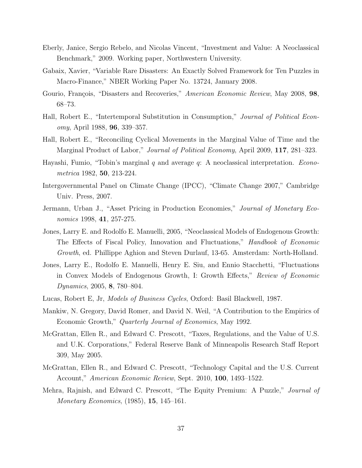- Eberly, Janice, Sergio Rebelo, and Nicolas Vincent, "Investment and Value: A Neoclassical Benchmark," 2009. Working paper, Northwestern University.
- Gabaix, Xavier, "Variable Rare Disasters: An Exactly Solved Framework for Ten Puzzles in Macro-Finance," NBER Working Paper No. 13724, January 2008.
- Gourio, François, "Disasters and Recoveries," American Economic Review, May 2008, 98, 68–73.
- Hall, Robert E., "Intertemporal Substitution in Consumption," Journal of Political Economy, April 1988, 96, 339–357.
- Hall, Robert E., "Reconciling Cyclical Movements in the Marginal Value of Time and the Marginal Product of Labor," *Journal of Political Economy*, April 2009, 117, 281–323.
- Hayashi, Fumio, "Tobin's marginal  $q$  and average  $q$ : A neoclassical interpretation. *Econo*metrica 1982, 50, 213-224.
- Intergovernmental Panel on Climate Change (IPCC), "Climate Change 2007," Cambridge Univ. Press, 2007.
- Jermann, Urban J., "Asset Pricing in Production Economies," Journal of Monetary Economics 1998, **41**, 257-275.
- Jones, Larry E. and Rodolfo E. Manuelli, 2005, "Neoclassical Models of Endogenous Growth: The Effects of Fiscal Policy, Innovation and Fluctuations," Handbook of Economic Growth, ed. Phillippe Aghion and Steven Durlauf, 13-65. Amsterdam: North-Holland.
- Jones, Larry E., Rodolfo E. Manuelli, Henry E. Siu, and Ennio Stacchetti, "Fluctuations in Convex Models of Endogenous Growth, I: Growth Effects," Review of Economic Dynamics, 2005, 8, 780–804.
- Lucas, Robert E, Jr, Models of Business Cycles, Oxford: Basil Blackwell, 1987.
- Mankiw, N. Gregory, David Romer, and David N. Weil, "A Contribution to the Empirics of Economic Growth," Quarterly Journal of Economics, May 1992.
- McGrattan, Ellen R., and Edward C. Prescott, "Taxes, Regulations, and the Value of U.S. and U.K. Corporations," Federal Reserve Bank of Minneapolis Research Staff Report 309, May 2005.
- McGrattan, Ellen R., and Edward C. Prescott, "Technology Capital and the U.S. Current Account," American Economic Review, Sept. 2010, 100, 1493–1522.
- Mehra, Rajnish, and Edward C. Prescott, "The Equity Premium: A Puzzle," Journal of Monetary Economics, (1985), 15, 145–161.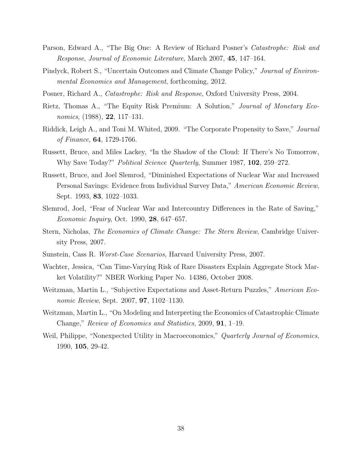- Parson, Edward A., "The Big One: A Review of Richard Posner's Catastrophe: Risk and Response, Journal of Economic Literature, March 2007, 45, 147–164.
- Pindyck, Robert S., "Uncertain Outcomes and Climate Change Policy," Journal of Environmental Economics and Management, forthcoming, 2012.
- Posner, Richard A., Catastrophe: Risk and Response, Oxford University Press, 2004.
- Rietz, Thomas A., "The Equity Risk Premium: A Solution," Journal of Monetary Economics, (1988), 22, 117–131.
- Riddick, Leigh A., and Toni M. Whited, 2009. "The Corporate Propensity to Save," Journal of Finance, 64, 1729-1766.
- Russett, Bruce, and Miles Lackey, "In the Shadow of the Cloud: If There's No Tomorrow, Why Save Today?" Political Science Quarterly, Summer 1987, 102, 259–272.
- Russett, Bruce, and Joel Slemrod, "Diminished Expectations of Nuclear War and Increased Personal Savings: Evidence from Individual Survey Data," American Economic Review, Sept. 1993, 83, 1022–1033.
- Slemrod, Joel, "Fear of Nuclear War and Intercountry Differences in the Rate of Saving," Economic Inquiry, Oct. 1990, 28, 647–657.
- Stern, Nicholas, The Economics of Climate Change: The Stern Review, Cambridge University Press, 2007.
- Sunstein, Cass R. Worst-Case Scenarios, Harvard University Press, 2007.
- Wachter, Jessica, "Can Time-Varying Risk of Rare Disasters Explain Aggregate Stock Market Volatility?" NBER Working Paper No. 14386, October 2008.
- Weitzman, Martin L., "Subjective Expectations and Asset-Return Puzzles," American Economic Review, Sept. 2007, **97**, 1102–1130.
- Weitzman, Martin L., "On Modeling and Interpreting the Economics of Catastrophic Climate Change," Review of Economics and Statistics, 2009, 91, 1–19.
- Weil, Philippe, "Nonexpected Utility in Macroeconomics," Quarterly Journal of Economics, 1990, 105, 29-42.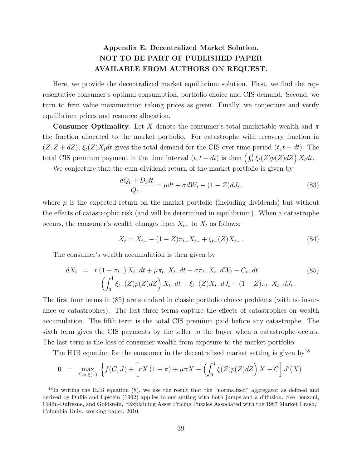### Appendix E. Decentralized Market Solution. NOT TO BE PART OF PUBLISHED PAPER AVAILABLE FROM AUTHORS ON REQUEST.

Here, we provide the decentralized market equilibrium solution. First, we find the representative consumer's optimal consumption, portfolio choice and CIS demand. Second, we turn to firm value maximization taking prices as given. Finally, we conjecture and verify equilibrium prices and resource allocation.

**Consumer Optimality.** Let X denote the consumer's total marketable wealth and  $\pi$ the fraction allocated to the market portfolio. For catastrophe with recovery fraction in  $(Z, Z + dZ), \xi_t(Z)X_t dt$  gives the total demand for the CIS over time period  $(t, t + dt)$ . The total CIS premium payment in the time interval  $(t, t + dt)$  is then  $\left(\int_0^1 \xi_t(Z)p(Z)dZ\right)X_tdt$ .

We conjecture that the cum-dividend return of the market portfolio is given by

$$
\frac{dQ_t + D_t dt}{Q_{t-}} = \mu dt + \sigma dW_t - (1 - Z)dJ_t,
$$
\n(83)

where  $\mu$  is the expected return on the market portfolio (including dividends) but without the effects of catastrophic risk (and will be determined in equilibrium). When a catastrophe occurs, the consumer's wealth changes from  $X_{t-}$  to  $X_t$  as follows:

$$
X_t = X_{t-} - (1 - Z)\pi_{t-}X_{t-} + \xi_{t-}(Z)X_{t-}.
$$
\n(84)

The consumer's wealth accumulation is then given by

$$
dX_t = r(1 - \pi_{t-}) X_{t-} dt + \mu \pi_{t-} X_{t-} dt + \sigma \pi_{t-} X_{t-} dW_t - C_{t-} dt
$$
  
- 
$$
\left( \int_0^1 \xi_{t-}(Z) p(Z) dZ \right) X_{t-} dt + \xi_{t-}(Z) X_{t-} dJ_t - (1 - Z) \pi_{t-} X_{t-} dJ_t.
$$
 (85)

The first four terms in (85) are standard in classic portfolio choice problems (with no insurance or catastrophes). The last three terms capture the effects of catastrophes on wealth accumulation. The fifth term is the total CIS premium paid before any catastrophe. The sixth term gives the CIS payments by the seller to the buyer when a catastrophe occurs. The last term is the loss of consumer wealth from exposure to the market portfolio.

The HJB equation for the consumer in the decentralized market setting is given by<sup>18</sup>

$$
0 = \max_{C, \pi, \xi(\cdot)} \left\{ f(C, J) + \left[ rX(1-\pi) + \mu \pi X - \left( \int_0^1 \xi(Z) p(Z) dZ \right) X - C \right] J'(X) \right\}
$$

 $^{18}$ In writing the HJB equation (8), we use the result that the "normalized" aggregator as defined and derived by Duffie and Epstein (1992) applies to our setting with both jumps and a diffusion. See Benzoni, Collin-Dufresne, and Goldstein, "Explaining Asset Pricing Puzzles Associated with the 1987 Market Crash," Columbia Univ. working paper, 2010.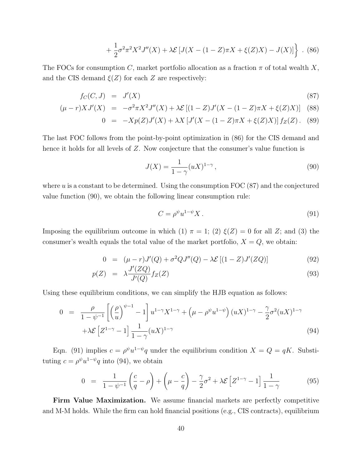$$
+\frac{1}{2}\sigma^2\pi^2X^2J''(X) + \lambda \mathcal{E}\left[J(X - (1 - Z)\pi X + \xi(Z)X) - J(X)\right] \ . \tag{86}
$$

The FOCs for consumption C, market portfolio allocation as a fraction  $\pi$  of total wealth X, and the CIS demand  $\xi(Z)$  for each Z are respectively:

$$
f_C(C, J) = J'(X) \tag{87}
$$

$$
(\mu - r)XJ'(X) = -\sigma^2 \pi X^2 J''(X) + \lambda \mathcal{E} \left[ (1 - Z)J'(X - (1 - Z)\pi X + \xi(Z)X) \right] \tag{88}
$$

$$
0 = -Xp(Z)J'(X) + \lambda X \left[J'(X - (1 - Z)\pi X + \xi(Z)X)\right] f_Z(Z). \tag{89}
$$

The last FOC follows from the point-by-point optimization in (86) for the CIS demand and hence it holds for all levels of Z. Now conjecture that the consumer's value function is

$$
J(X) = \frac{1}{1 - \gamma} (uX)^{1 - \gamma},
$$
\n(90)

where  $u$  is a constant to be determined. Using the consumption FOC  $(87)$  and the conjectured value function (90), we obtain the following linear consumption rule:

$$
C = \rho^{\psi} u^{1-\psi} X. \tag{91}
$$

Imposing the equilibrium outcome in which (1)  $\pi = 1$ ; (2)  $\xi(Z) = 0$  for all Z; and (3) the consumer's wealth equals the total value of the market portfolio,  $X = Q$ , we obtain:

$$
0 = (\mu - r)J'(Q) + \sigma^2 Q J''(Q) - \lambda \mathcal{E} [(1 - Z)J'(ZQ)] \tag{92}
$$

$$
p(Z) = \lambda \frac{J'(ZQ)}{J'(Q)} f_Z(Z) \tag{93}
$$

Using these equilibrium conditions, we can simplify the HJB equation as follows:

$$
0 = \frac{\rho}{1 - \psi^{-1}} \left[ \left( \frac{\rho}{u} \right)^{\psi - 1} - 1 \right] u^{1 - \gamma} X^{1 - \gamma} + \left( \mu - \rho^{\psi} u^{1 - \psi} \right) (uX)^{1 - \gamma} - \frac{\gamma}{2} \sigma^2 (uX)^{1 - \gamma} + \lambda \mathcal{E} \left[ Z^{1 - \gamma} - 1 \right] \frac{1}{1 - \gamma} (uX)^{1 - \gamma}
$$
\n
$$
(94)
$$

Eqn. (91) implies  $c = \rho^{\psi} u^{1-\psi} q$  under the equilibrium condition  $X = Q = qK$ . Substituting  $c = \rho^{\psi} u^{1-\psi} q$  into (94), we obtain

$$
0 = \frac{1}{1 - \psi^{-1}} \left( \frac{c}{q} - \rho \right) + \left( \mu - \frac{c}{q} \right) - \frac{\gamma}{2} \sigma^2 + \lambda \mathcal{E} \left[ Z^{1 - \gamma} - 1 \right] \frac{1}{1 - \gamma}
$$
(95)

Firm Value Maximization. We assume financial markets are perfectly competitive and M-M holds. While the firm can hold financial positions (e.g., CIS contracts), equilibrium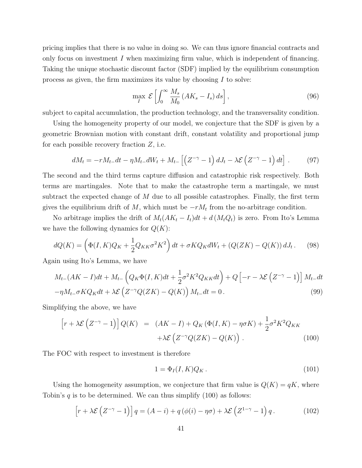pricing implies that there is no value in doing so. We can thus ignore financial contracts and only focus on investment  $I$  when maximizing firm value, which is independent of financing. Taking the unique stochastic discount factor (SDF) implied by the equilibrium consumption process as given, the firm maximizes its value by choosing I to solve:

$$
\max_{I} \mathcal{E}\left[\int_{0}^{\infty} \frac{M_s}{M_0} \left( A K_s - I_s \right) ds \right],\tag{96}
$$

subject to capital accumulation, the production technology, and the transversality condition.

Using the homogeneity property of our model, we conjecture that the SDF is given by a geometric Brownian motion with constant drift, constant volatility and proportional jump for each possible recovery fraction Z, i.e.

$$
dM_t = -rM_t dt - \eta M_t dW_t + M_{t-} \left[ \left( Z^{-\gamma} - 1 \right) dJ_t - \lambda \mathcal{E} \left( Z^{-\gamma} - 1 \right) dt \right]. \tag{97}
$$

The second and the third terms capture diffusion and catastrophic risk respectively. Both terms are martingales. Note that to make the catastrophe term a martingale, we must subtract the expected change of  $M$  due to all possible catastrophes. Finally, the first term gives the equilibrium drift of  $M$ , which must be  $-rM_t$  from the no-arbitrage condition.

No arbitrage implies the drift of  $M_t(AK_t - I_t)dt + d(M_tQ_t)$  is zero. From Ito's Lemma we have the following dynamics for  $Q(K)$ :

$$
dQ(K) = \left(\Phi(I, K)Q_K + \frac{1}{2}Q_{KK}\sigma^2 K^2\right)dt + \sigma K Q_K dW_t + \left(Q(ZK) - Q(K)\right)dJ_t. \tag{98}
$$

Again using Ito's Lemma, we have

$$
M_{t-}(AK-I)dt + M_{t-}\left(Q_K\Phi(I,K)dt + \frac{1}{2}\sigma^2K^2Q_{KK}dt\right) + Q\left[-r - \lambda\mathcal{E}\left(Z^{-\gamma} - 1\right)\right]M_{t-}dt - \eta M_{t-}\sigma KQ_Kdt + \lambda\mathcal{E}\left(Z^{-\gamma}Q(ZK) - Q(K)\right)M_{t-}dt = 0.
$$
\n(99)

Simplifying the above, we have

$$
\[r + \lambda \mathcal{E}\left(Z^{-\gamma} - 1\right)\]Q(K) = (AK - I) + Q_K\left(\Phi(I, K) - \eta \sigma K\right) + \frac{1}{2}\sigma^2 K^2 Q_{KK} + \lambda \mathcal{E}\left(Z^{-\gamma}Q(ZK) - Q(K)\right). \tag{100}
$$

The FOC with respect to investment is therefore

$$
1 = \Phi_I(I, K)Q_K. \tag{101}
$$

Using the homogeneity assumption, we conjecture that firm value is  $Q(K) = qK$ , where Tobin's  $q$  is to be determined. We can thus simplify (100) as follows:

$$
\[r + \lambda \mathcal{E}\left(Z^{-\gamma} - 1\right)\]q = (A - i) + q\left(\phi(i) - \eta\sigma\right) + \lambda \mathcal{E}\left(Z^{1-\gamma} - 1\right)q. \tag{102}
$$